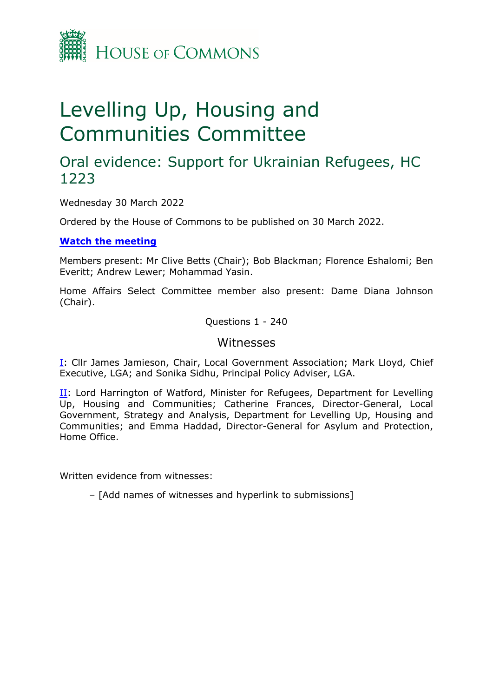

# Levelling Up, Housing and Communities Committee

## Oral evidence: Support for Ukrainian Refugees, HC 1223

Wednesday 30 March 2022

Ordered by the House of Commons to be published on 30 March 2022.

### **[Watch](https://parliamentlive.tv/Event/Index/d22fc602-bdd6-4ca3-9587-7c79634bf0d4) [the](https://parliamentlive.tv/Event/Index/d22fc602-bdd6-4ca3-9587-7c79634bf0d4) [meeting](https://parliamentlive.tv/Event/Index/d22fc602-bdd6-4ca3-9587-7c79634bf0d4)**

Members present: Mr Clive Betts (Chair); Bob Blackman; Florence Eshalomi; Ben Everitt; Andrew Lewer; Mohammad Yasin.

Home Affairs Select Committee member also present: Dame Diana Johnson (Chair).

Questions 1 - 240

## Witnesses

[I:](#page-1-0) Cllr James Jamieson, Chair, Local Government Association; Mark Lloyd, Chief Executive, LGA; and Sonika Sidhu, Principal Policy Adviser, LGA.

[II](#page-10-0): Lord Harrington of Watford, Minister for Refugees, Department for Levelling Up, Housing and Communities; Catherine Frances, Director-General, Local Government, Strategy and Analysis, Department for Levelling Up, Housing and Communities; and Emma Haddad, Director-General for Asylum and Protection, Home Office.

Written evidence from witnesses:

– [Add names of witnesses and hyperlink to submissions]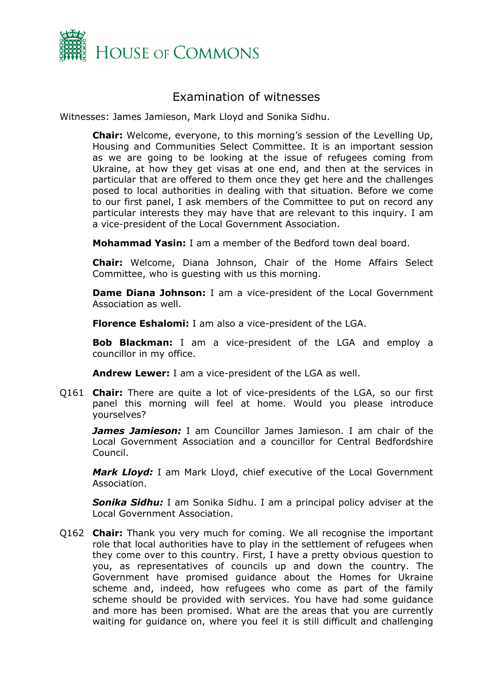

## <span id="page-1-0"></span>Examination of witnesses

Witnesses: James Jamieson, Mark Lloyd and Sonika Sidhu.

**Chair:** Welcome, everyone, to this morning's session of the Levelling Up, Housing and Communities Select Committee. It is an important session as we are going to be looking at the issue of refugees coming from Ukraine, at how they get visas at one end, and then at the services in particular that are offered to them once they get here and the challenges posed to local authorities in dealing with that situation. Before we come to our first panel, I ask members of the Committee to put on record any particular interests they may have that are relevant to this inquiry. I am a vice-president of the Local Government Association.

**Mohammad Yasin:** I am a member of the Bedford town deal board.

**Chair:** Welcome, Diana Johnson, Chair of the Home Affairs Select Committee, who is guesting with us this morning.

**Dame Diana Johnson:** I am a vice-president of the Local Government Association as well.

**Florence Eshalomi:** I am also a vice-president of the LGA.

**Bob Blackman:** I am a vice-president of the LGA and employ a councillor in my office.

**Andrew Lewer:** I am a vice-president of the LGA as well.

Q161 **Chair:** There are quite a lot of vice-presidents of the LGA, so our first panel this morning will feel at home. Would you please introduce yourselves?

*James Jamieson:* I am Councillor James Jamieson. I am chair of the Local Government Association and a councillor for Central Bedfordshire Council.

*Mark Lloyd:* I am Mark Lloyd, chief executive of the Local Government Association.

*Sonika Sidhu:* I am Sonika Sidhu. I am a principal policy adviser at the Local Government Association.

Q162 **Chair:** Thank you very much for coming. We all recognise the important role that local authorities have to play in the settlement of refugees when they come over to this country. First, I have a pretty obvious question to you, as representatives of councils up and down the country. The Government have promised guidance about the Homes for Ukraine scheme and, indeed, how refugees who come as part of the family scheme should be provided with services. You have had some guidance and more has been promised. What are the areas that you are currently waiting for guidance on, where you feel it is still difficult and challenging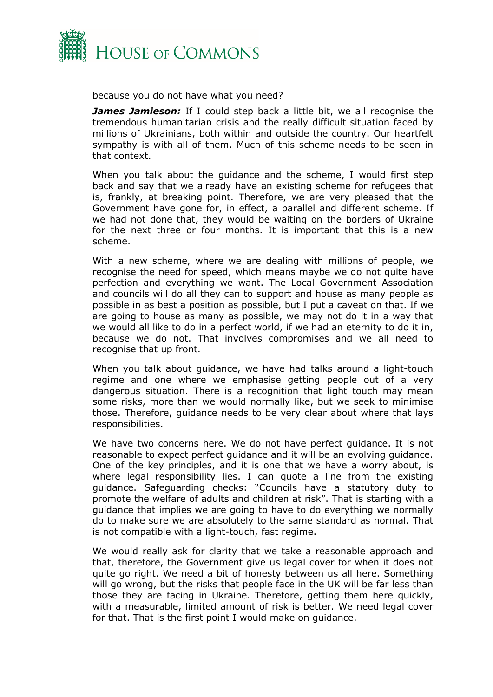

because you do not have what you need?

*James Jamieson:* If I could step back a little bit, we all recognise the tremendous humanitarian crisis and the really difficult situation faced by millions of Ukrainians, both within and outside the country. Our heartfelt sympathy is with all of them. Much of this scheme needs to be seen in that context.

When you talk about the guidance and the scheme, I would first step back and say that we already have an existing scheme for refugees that is, frankly, at breaking point. Therefore, we are very pleased that the Government have gone for, in effect, a parallel and different scheme. If we had not done that, they would be waiting on the borders of Ukraine for the next three or four months. It is important that this is a new scheme.

With a new scheme, where we are dealing with millions of people, we recognise the need for speed, which means maybe we do not quite have perfection and everything we want. The Local Government Association and councils will do all they can to support and house as many people as possible in as best a position as possible, but I put a caveat on that. If we are going to house as many as possible, we may not do it in a way that we would all like to do in a perfect world, if we had an eternity to do it in, because we do not. That involves compromises and we all need to recognise that up front.

When you talk about quidance, we have had talks around a light-touch regime and one where we emphasise getting people out of a very dangerous situation. There is a recognition that light touch may mean some risks, more than we would normally like, but we seek to minimise those. Therefore, guidance needs to be very clear about where that lays responsibilities.

We have two concerns here. We do not have perfect guidance. It is not reasonable to expect perfect guidance and it will be an evolving guidance. One of the key principles, and it is one that we have a worry about, is where legal responsibility lies. I can quote a line from the existing guidance. Safeguarding checks: "Councils have a statutory duty to promote the welfare of adults and children at risk". That is starting with a guidance that implies we are going to have to do everything we normally do to make sure we are absolutely to the same standard as normal. That is not compatible with a light-touch, fast regime.

We would really ask for clarity that we take a reasonable approach and that, therefore, the Government give us legal cover for when it does not quite go right. We need a bit of honesty between us all here. Something will go wrong, but the risks that people face in the UK will be far less than those they are facing in Ukraine. Therefore, getting them here quickly, with a measurable, limited amount of risk is better. We need legal cover for that. That is the first point I would make on guidance.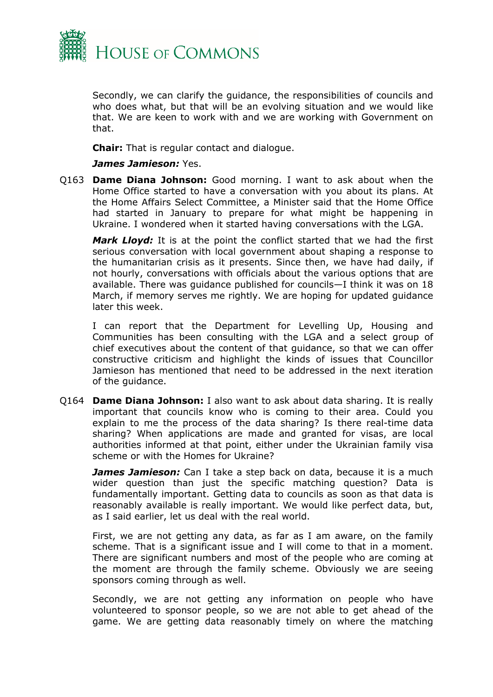

Secondly, we can clarify the guidance, the responsibilities of councils and who does what, but that will be an evolving situation and we would like that. We are keen to work with and we are working with Government on that.

**Chair:** That is regular contact and dialogue.

#### *James Jamieson:* Yes.

Q163 **Dame Diana Johnson:** Good morning. I want to ask about when the Home Office started to have a conversation with you about its plans. At the Home Affairs Select Committee, a Minister said that the Home Office had started in January to prepare for what might be happening in Ukraine. I wondered when it started having conversations with the LGA.

*Mark Lloyd:* It is at the point the conflict started that we had the first serious conversation with local government about shaping a response to the humanitarian crisis as it presents. Since then, we have had daily, if not hourly, conversations with officials about the various options that are available. There was guidance published for councils—I think it was on 18 March, if memory serves me rightly. We are hoping for updated guidance later this week.

I can report that the Department for Levelling Up, Housing and Communities has been consulting with the LGA and a select group of chief executives about the content of that guidance, so that we can offer constructive criticism and highlight the kinds of issues that Councillor Jamieson has mentioned that need to be addressed in the next iteration of the guidance.

Q164 **Dame Diana Johnson:** I also want to ask about data sharing. It is really important that councils know who is coming to their area. Could you explain to me the process of the data sharing? Is there real-time data sharing? When applications are made and granted for visas, are local authorities informed at that point, either under the Ukrainian family visa scheme or with the Homes for Ukraine?

*James Jamieson:* Can I take a step back on data, because it is a much wider question than just the specific matching question? Data is fundamentally important. Getting data to councils as soon as that data is reasonably available is really important. We would like perfect data, but, as I said earlier, let us deal with the real world.

First, we are not getting any data, as far as I am aware, on the family scheme. That is a significant issue and I will come to that in a moment. There are significant numbers and most of the people who are coming at the moment are through the family scheme. Obviously we are seeing sponsors coming through as well.

Secondly, we are not getting any information on people who have volunteered to sponsor people, so we are not able to get ahead of the game. We are getting data reasonably timely on where the matching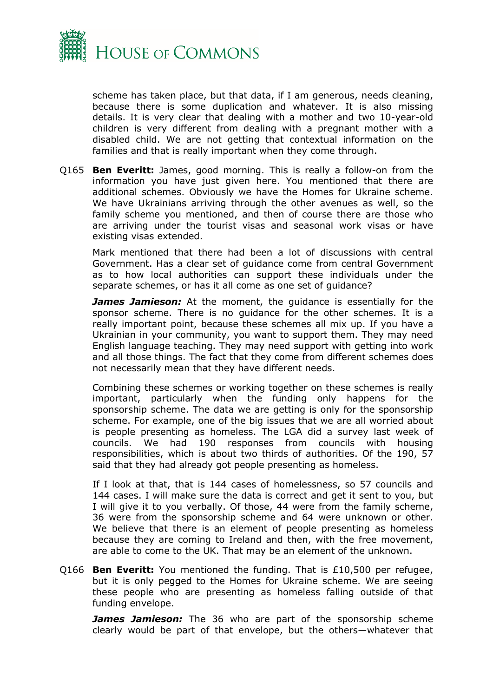

scheme has taken place, but that data, if I am generous, needs cleaning, because there is some duplication and whatever. It is also missing details. It is very clear that dealing with a mother and two 10-year-old children is very different from dealing with a pregnant mother with a disabled child. We are not getting that contextual information on the families and that is really important when they come through.

Q165 **Ben Everitt:** James, good morning. This is really a follow-on from the information you have just given here. You mentioned that there are additional schemes. Obviously we have the Homes for Ukraine scheme. We have Ukrainians arriving through the other avenues as well, so the family scheme you mentioned, and then of course there are those who are arriving under the tourist visas and seasonal work visas or have existing visas extended.

Mark mentioned that there had been a lot of discussions with central Government. Has a clear set of guidance come from central Government as to how local authorities can support these individuals under the separate schemes, or has it all come as one set of guidance?

*James Jamieson:* At the moment, the guidance is essentially for the sponsor scheme. There is no guidance for the other schemes. It is a really important point, because these schemes all mix up. If you have a Ukrainian in your community, you want to support them. They may need English language teaching. They may need support with getting into work and all those things. The fact that they come from different schemes does not necessarily mean that they have different needs.

Combining these schemes or working together on these schemes is really important, particularly when the funding only happens for the sponsorship scheme. The data we are getting is only for the sponsorship scheme. For example, one of the big issues that we are all worried about is people presenting as homeless. The LGA did a survey last week of councils. We had 190 responses from councils with housing responsibilities, which is about two thirds of authorities. Of the 190, 57 said that they had already got people presenting as homeless.

If I look at that, that is 144 cases of homelessness, so 57 councils and 144 cases. I will make sure the data is correct and get it sent to you, but I will give it to you verbally. Of those, 44 were from the family scheme, 36 were from the sponsorship scheme and 64 were unknown or other. We believe that there is an element of people presenting as homeless because they are coming to Ireland and then, with the free movement, are able to come to the UK. That may be an element of the unknown.

Q166 **Ben Everitt:** You mentioned the funding. That is £10,500 per refugee, but it is only pegged to the Homes for Ukraine scheme. We are seeing these people who are presenting as homeless falling outside of that funding envelope.

*James Jamieson:* The 36 who are part of the sponsorship scheme clearly would be part of that envelope, but the others—whatever that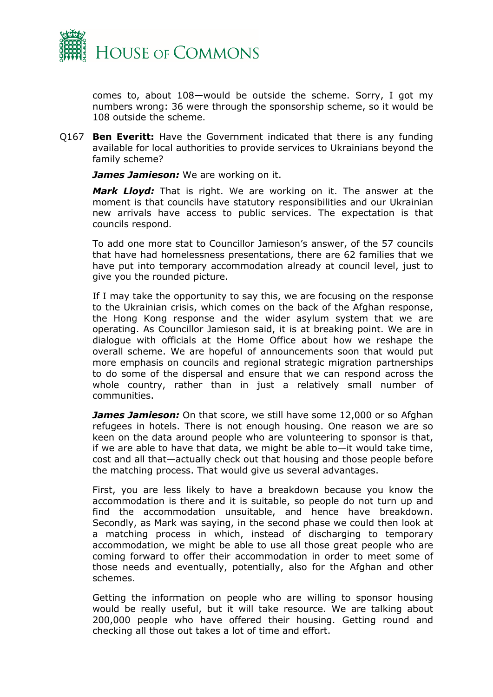

comes to, about 108—would be outside the scheme. Sorry, I got my numbers wrong: 36 were through the sponsorship scheme, so it would be 108 outside the scheme.

Q167 **Ben Everitt:** Have the Government indicated that there is any funding available for local authorities to provide services to Ukrainians beyond the family scheme?

*James Jamieson:* We are working on it.

*Mark Lloyd:* That is right. We are working on it. The answer at the moment is that councils have statutory responsibilities and our Ukrainian new arrivals have access to public services. The expectation is that councils respond.

To add one more stat to Councillor Jamieson's answer, of the 57 councils that have had homelessness presentations, there are 62 families that we have put into temporary accommodation already at council level, just to give you the rounded picture.

If I may take the opportunity to say this, we are focusing on the response to the Ukrainian crisis, which comes on the back of the Afghan response, the Hong Kong response and the wider asylum system that we are operating. As Councillor Jamieson said, it is at breaking point. We are in dialogue with officials at the Home Office about how we reshape the overall scheme. We are hopeful of announcements soon that would put more emphasis on councils and regional strategic migration partnerships to do some of the dispersal and ensure that we can respond across the whole country, rather than in just a relatively small number of communities.

*James Jamieson:* On that score, we still have some 12,000 or so Afghan refugees in hotels. There is not enough housing. One reason we are so keen on the data around people who are volunteering to sponsor is that, if we are able to have that data, we might be able to—it would take time, cost and all that—actually check out that housing and those people before the matching process. That would give us several advantages.

First, you are less likely to have a breakdown because you know the accommodation is there and it is suitable, so people do not turn up and find the accommodation unsuitable, and hence have breakdown. Secondly, as Mark was saying, in the second phase we could then look at a matching process in which, instead of discharging to temporary accommodation, we might be able to use all those great people who are coming forward to offer their accommodation in order to meet some of those needs and eventually, potentially, also for the Afghan and other schemes.

Getting the information on people who are willing to sponsor housing would be really useful, but it will take resource. We are talking about 200,000 people who have offered their housing. Getting round and checking all those out takes a lot of time and effort.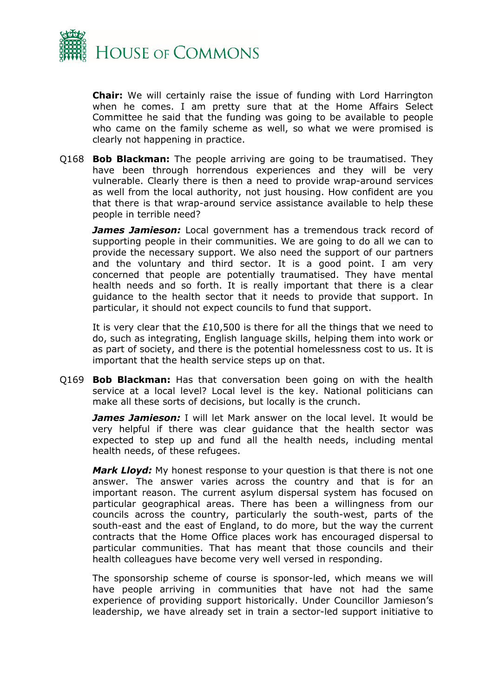

**Chair:** We will certainly raise the issue of funding with Lord Harrington when he comes. I am pretty sure that at the Home Affairs Select Committee he said that the funding was going to be available to people who came on the family scheme as well, so what we were promised is clearly not happening in practice.

Q168 **Bob Blackman:** The people arriving are going to be traumatised. They have been through horrendous experiences and they will be very vulnerable. Clearly there is then a need to provide wrap-around services as well from the local authority, not just housing. How confident are you that there is that wrap-around service assistance available to help these people in terrible need?

*James Jamieson:* Local government has a tremendous track record of supporting people in their communities. We are going to do all we can to provide the necessary support. We also need the support of our partners and the voluntary and third sector. It is a good point. I am very concerned that people are potentially traumatised. They have mental health needs and so forth. It is really important that there is a clear guidance to the health sector that it needs to provide that support. In particular, it should not expect councils to fund that support.

It is very clear that the £10,500 is there for all the things that we need to do, such as integrating, English language skills, helping them into work or as part of society, and there is the potential homelessness cost to us. It is important that the health service steps up on that.

Q169 **Bob Blackman:** Has that conversation been going on with the health service at a local level? Local level is the key. National politicians can make all these sorts of decisions, but locally is the crunch.

*James Jamieson:* I will let Mark answer on the local level. It would be very helpful if there was clear guidance that the health sector was expected to step up and fund all the health needs, including mental health needs, of these refugees.

*Mark Lloyd:* My honest response to your question is that there is not one answer. The answer varies across the country and that is for an important reason. The current asylum dispersal system has focused on particular geographical areas. There has been a willingness from our councils across the country, particularly the south-west, parts of the south-east and the east of England, to do more, but the way the current contracts that the Home Office places work has encouraged dispersal to particular communities. That has meant that those councils and their health colleagues have become very well versed in responding.

The sponsorship scheme of course is sponsor-led, which means we will have people arriving in communities that have not had the same experience of providing support historically. Under Councillor Jamieson's leadership, we have already set in train a sector-led support initiative to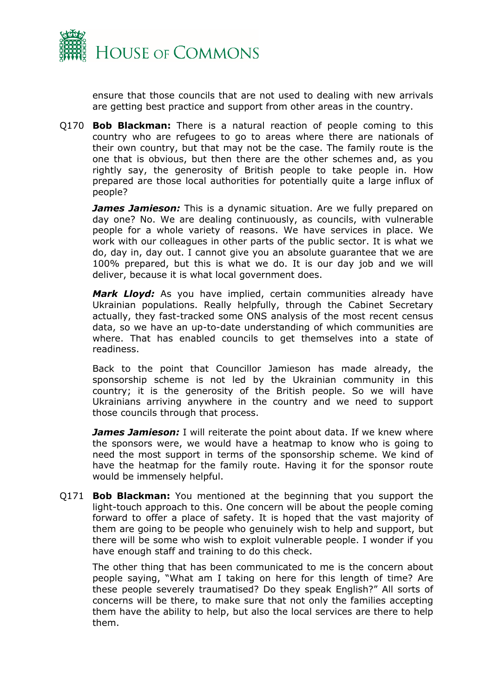

ensure that those councils that are not used to dealing with new arrivals are getting best practice and support from other areas in the country.

Q170 **Bob Blackman:** There is a natural reaction of people coming to this country who are refugees to go to areas where there are nationals of their own country, but that may not be the case. The family route is the one that is obvious, but then there are the other schemes and, as you rightly say, the generosity of British people to take people in. How prepared are those local authorities for potentially quite a large influx of people?

*James Jamieson:* This is a dynamic situation. Are we fully prepared on day one? No. We are dealing continuously, as councils, with vulnerable people for a whole variety of reasons. We have services in place. We work with our colleagues in other parts of the public sector. It is what we do, day in, day out. I cannot give you an absolute guarantee that we are 100% prepared, but this is what we do. It is our day job and we will deliver, because it is what local government does.

*Mark Lloyd:* As you have implied, certain communities already have Ukrainian populations. Really helpfully, through the Cabinet Secretary actually, they fast-tracked some ONS analysis of the most recent census data, so we have an up-to-date understanding of which communities are where. That has enabled councils to get themselves into a state of readiness.

Back to the point that Councillor Jamieson has made already, the sponsorship scheme is not led by the Ukrainian community in this country; it is the generosity of the British people. So we will have Ukrainians arriving anywhere in the country and we need to support those councils through that process.

*James Jamieson:* I will reiterate the point about data. If we knew where the sponsors were, we would have a heatmap to know who is going to need the most support in terms of the sponsorship scheme. We kind of have the heatmap for the family route. Having it for the sponsor route would be immensely helpful.

Q171 **Bob Blackman:** You mentioned at the beginning that you support the light-touch approach to this. One concern will be about the people coming forward to offer a place of safety. It is hoped that the vast majority of them are going to be people who genuinely wish to help and support, but there will be some who wish to exploit vulnerable people. I wonder if you have enough staff and training to do this check.

The other thing that has been communicated to me is the concern about people saying, "What am I taking on here for this length of time? Are these people severely traumatised? Do they speak English?" All sorts of concerns will be there, to make sure that not only the families accepting them have the ability to help, but also the local services are there to help them.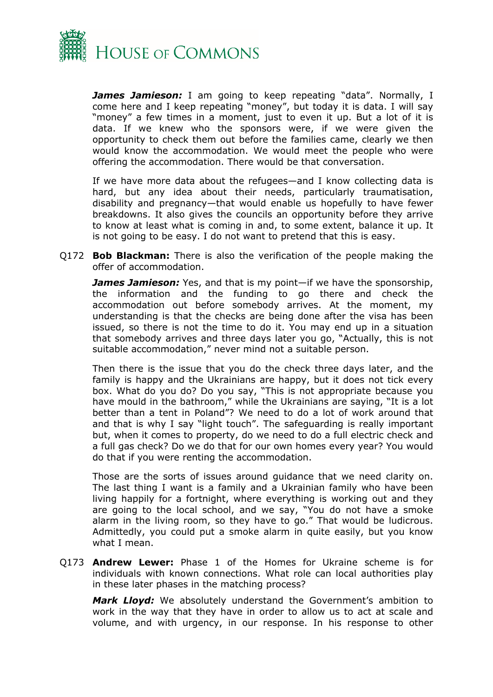

*James Jamieson:* I am going to keep repeating "data". Normally, I come here and I keep repeating "money", but today it is data. I will say "money" a few times in a moment, just to even it up. But a lot of it is data. If we knew who the sponsors were, if we were given the opportunity to check them out before the families came, clearly we then would know the accommodation. We would meet the people who were offering the accommodation. There would be that conversation.

If we have more data about the refugees—and I know collecting data is hard, but any idea about their needs, particularly traumatisation, disability and pregnancy—that would enable us hopefully to have fewer breakdowns. It also gives the councils an opportunity before they arrive to know at least what is coming in and, to some extent, balance it up. It is not going to be easy. I do not want to pretend that this is easy.

Q172 **Bob Blackman:** There is also the verification of the people making the offer of accommodation.

*James Jamieson:* Yes, and that is my point—if we have the sponsorship, the information and the funding to go there and check the accommodation out before somebody arrives. At the moment, my understanding is that the checks are being done after the visa has been issued, so there is not the time to do it. You may end up in a situation that somebody arrives and three days later you go, "Actually, this is not suitable accommodation," never mind not a suitable person.

Then there is the issue that you do the check three days later, and the family is happy and the Ukrainians are happy, but it does not tick every box. What do you do? Do you say, "This is not appropriate because you have mould in the bathroom," while the Ukrainians are saying, "It is a lot better than a tent in Poland"? We need to do a lot of work around that and that is why I say "light touch". The safeguarding is really important but, when it comes to property, do we need to do a full electric check and a full gas check? Do we do that for our own homes every year? You would do that if you were renting the accommodation.

Those are the sorts of issues around guidance that we need clarity on. The last thing I want is a family and a Ukrainian family who have been living happily for a fortnight, where everything is working out and they are going to the local school, and we say, "You do not have a smoke alarm in the living room, so they have to go." That would be ludicrous. Admittedly, you could put a smoke alarm in quite easily, but you know what I mean.

Q173 **Andrew Lewer:** Phase 1 of the Homes for Ukraine scheme is for individuals with known connections. What role can local authorities play in these later phases in the matching process?

*Mark Lloyd:* We absolutely understand the Government's ambition to work in the way that they have in order to allow us to act at scale and volume, and with urgency, in our response. In his response to other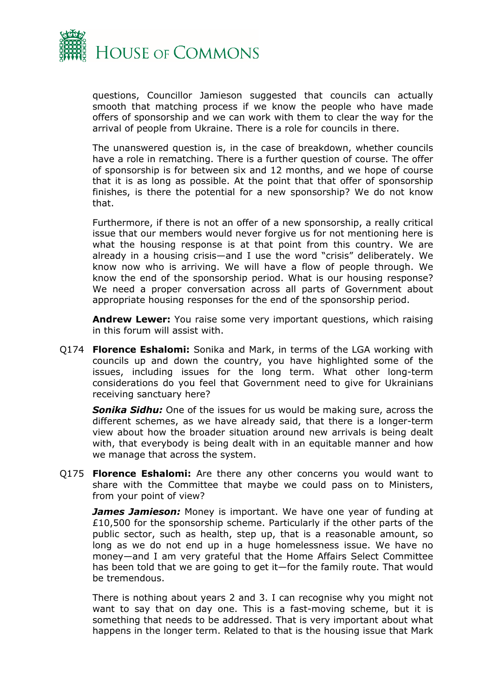

questions, Councillor Jamieson suggested that councils can actually smooth that matching process if we know the people who have made offers of sponsorship and we can work with them to clear the way for the arrival of people from Ukraine. There is a role for councils in there.

The unanswered question is, in the case of breakdown, whether councils have a role in rematching. There is a further question of course. The offer of sponsorship is for between six and 12 months, and we hope of course that it is as long as possible. At the point that that offer of sponsorship finishes, is there the potential for a new sponsorship? We do not know that.

Furthermore, if there is not an offer of a new sponsorship, a really critical issue that our members would never forgive us for not mentioning here is what the housing response is at that point from this country. We are already in a housing crisis—and I use the word "crisis" deliberately. We know now who is arriving. We will have a flow of people through. We know the end of the sponsorship period. What is our housing response? We need a proper conversation across all parts of Government about appropriate housing responses for the end of the sponsorship period.

**Andrew Lewer:** You raise some very important questions, which raising in this forum will assist with.

Q174 **Florence Eshalomi:** Sonika and Mark, in terms of the LGA working with councils up and down the country, you have highlighted some of the issues, including issues for the long term. What other long-term considerations do you feel that Government need to give for Ukrainians receiving sanctuary here?

*Sonika Sidhu:* One of the issues for us would be making sure, across the different schemes, as we have already said, that there is a longer-term view about how the broader situation around new arrivals is being dealt with, that everybody is being dealt with in an equitable manner and how we manage that across the system.

Q175 **Florence Eshalomi:** Are there any other concerns you would want to share with the Committee that maybe we could pass on to Ministers, from your point of view?

*James Jamieson:* Money is important. We have one year of funding at £10,500 for the sponsorship scheme. Particularly if the other parts of the public sector, such as health, step up, that is a reasonable amount, so long as we do not end up in a huge homelessness issue. We have no money—and I am very grateful that the Home Affairs Select Committee has been told that we are going to get it—for the family route. That would be tremendous.

There is nothing about years 2 and 3. I can recognise why you might not want to say that on day one. This is a fast-moving scheme, but it is something that needs to be addressed. That is very important about what happens in the longer term. Related to that is the housing issue that Mark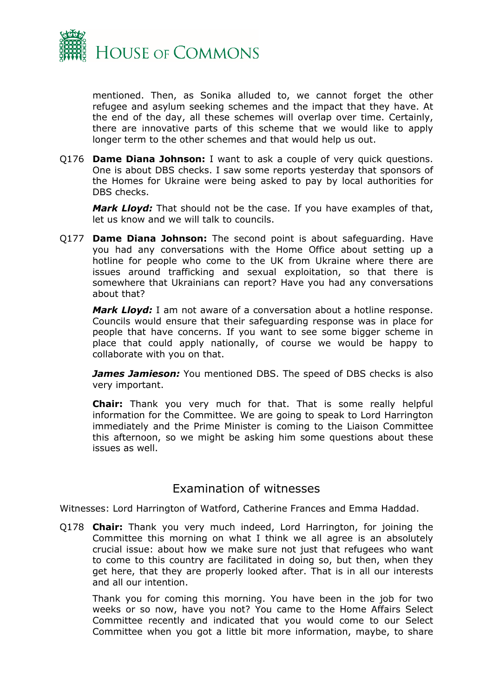

mentioned. Then, as Sonika alluded to, we cannot forget the other refugee and asylum seeking schemes and the impact that they have. At the end of the day, all these schemes will overlap over time. Certainly, there are innovative parts of this scheme that we would like to apply longer term to the other schemes and that would help us out.

Q176 **Dame Diana Johnson:** I want to ask a couple of very quick questions. One is about DBS checks. I saw some reports yesterday that sponsors of the Homes for Ukraine were being asked to pay by local authorities for DBS checks.

*Mark Lloyd:* That should not be the case. If you have examples of that, let us know and we will talk to councils.

Q177 **Dame Diana Johnson:** The second point is about safeguarding. Have you had any conversations with the Home Office about setting up a hotline for people who come to the UK from Ukraine where there are issues around trafficking and sexual exploitation, so that there is somewhere that Ukrainians can report? Have you had any conversations about that?

*Mark Lloyd:* I am not aware of a conversation about a hotline response. Councils would ensure that their safeguarding response was in place for people that have concerns. If you want to see some bigger scheme in place that could apply nationally, of course we would be happy to collaborate with you on that.

*James Jamieson:* You mentioned DBS. The speed of DBS checks is also very important.

**Chair:** Thank you very much for that. That is some really helpful information for the Committee. We are going to speak to Lord Harrington immediately and the Prime Minister is coming to the Liaison Committee this afternoon, so we might be asking him some questions about these issues as well.

## <span id="page-10-0"></span>Examination of witnesses

Witnesses: Lord Harrington of Watford, Catherine Frances and Emma Haddad.

Q178 **Chair:** Thank you very much indeed, Lord Harrington, for joining the Committee this morning on what I think we all agree is an absolutely crucial issue: about how we make sure not just that refugees who want to come to this country are facilitated in doing so, but then, when they get here, that they are properly looked after. That is in all our interests and all our intention.

Thank you for coming this morning. You have been in the job for two weeks or so now, have you not? You came to the Home Affairs Select Committee recently and indicated that you would come to our Select Committee when you got a little bit more information, maybe, to share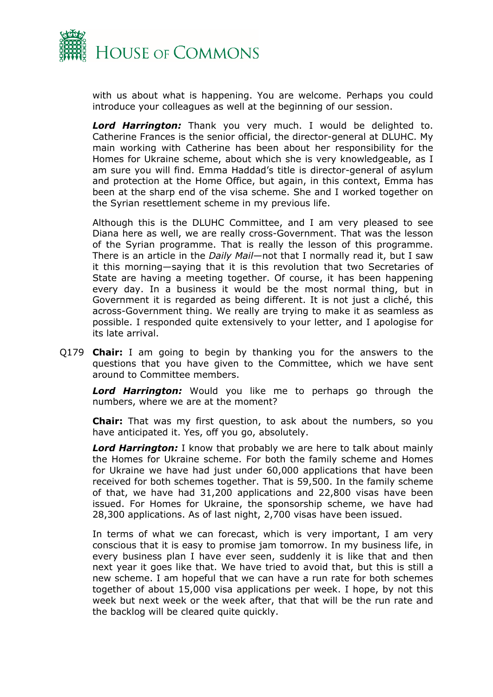

with us about what is happening. You are welcome. Perhaps you could introduce your colleagues as well at the beginning of our session.

*Lord Harrington:* Thank you very much. I would be delighted to. Catherine Frances is the senior official, the director-general at DLUHC. My main working with Catherine has been about her responsibility for the Homes for Ukraine scheme, about which she is very knowledgeable, as I am sure you will find. Emma Haddad's title is director-general of asylum and protection at the Home Office, but again, in this context, Emma has been at the sharp end of the visa scheme. She and I worked together on the Syrian resettlement scheme in my previous life.

Although this is the DLUHC Committee, and I am very pleased to see Diana here as well, we are really cross-Government. That was the lesson of the Syrian programme. That is really the lesson of this programme. There is an article in the *Daily Mail*—not that I normally read it, but I saw it this morning—saying that it is this revolution that two Secretaries of State are having a meeting together. Of course, it has been happening every day. In a business it would be the most normal thing, but in Government it is regarded as being different. It is not just a cliché, this across-Government thing. We really are trying to make it as seamless as possible. I responded quite extensively to your letter, and I apologise for its late arrival.

Q179 **Chair:** I am going to begin by thanking you for the answers to the questions that you have given to the Committee, which we have sent around to Committee members.

*Lord Harrington:* Would you like me to perhaps go through the numbers, where we are at the moment?

**Chair:** That was my first question, to ask about the numbers, so you have anticipated it. Yes, off you go, absolutely.

**Lord Harrington:** I know that probably we are here to talk about mainly the Homes for Ukraine scheme. For both the family scheme and Homes for Ukraine we have had just under 60,000 applications that have been received for both schemes together. That is 59,500. In the family scheme of that, we have had 31,200 applications and 22,800 visas have been issued. For Homes for Ukraine, the sponsorship scheme, we have had 28,300 applications. As of last night, 2,700 visas have been issued.

In terms of what we can forecast, which is very important, I am very conscious that it is easy to promise jam tomorrow. In my business life, in every business plan I have ever seen, suddenly it is like that and then next year it goes like that. We have tried to avoid that, but this is still a new scheme. I am hopeful that we can have a run rate for both schemes together of about 15,000 visa applications per week. I hope, by not this week but next week or the week after, that that will be the run rate and the backlog will be cleared quite quickly.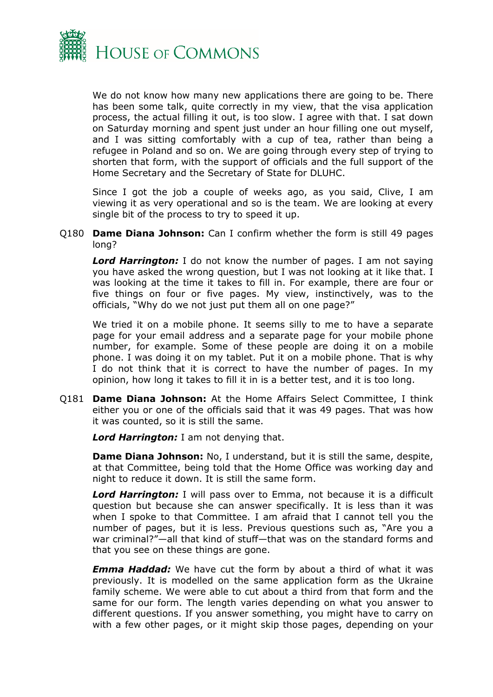

We do not know how many new applications there are going to be. There has been some talk, quite correctly in my view, that the visa application process, the actual filling it out, is too slow. I agree with that. I sat down on Saturday morning and spent just under an hour filling one out myself, and I was sitting comfortably with a cup of tea, rather than being a refugee in Poland and so on. We are going through every step of trying to shorten that form, with the support of officials and the full support of the Home Secretary and the Secretary of State for DLUHC.

Since I got the job a couple of weeks ago, as you said, Clive, I am viewing it as very operational and so is the team. We are looking at every single bit of the process to try to speed it up.

#### Q180 **Dame Diana Johnson:** Can I confirm whether the form is still 49 pages long?

*Lord Harrington:* I do not know the number of pages. I am not saying you have asked the wrong question, but I was not looking at it like that. I was looking at the time it takes to fill in. For example, there are four or five things on four or five pages. My view, instinctively, was to the officials, "Why do we not just put them all on one page?"

We tried it on a mobile phone. It seems silly to me to have a separate page for your email address and a separate page for your mobile phone number, for example. Some of these people are doing it on a mobile phone. I was doing it on my tablet. Put it on a mobile phone. That is why I do not think that it is correct to have the number of pages. In my opinion, how long it takes to fill it in is a better test, and it is too long.

Q181 **Dame Diana Johnson:** At the Home Affairs Select Committee, I think either you or one of the officials said that it was 49 pages. That was how it was counted, so it is still the same.

*Lord Harrington:* I am not denying that.

**Dame Diana Johnson:** No, I understand, but it is still the same, despite, at that Committee, being told that the Home Office was working day and night to reduce it down. It is still the same form.

*Lord Harrington:* I will pass over to Emma, not because it is a difficult question but because she can answer specifically. It is less than it was when I spoke to that Committee. I am afraid that I cannot tell you the number of pages, but it is less. Previous questions such as, "Are you a war criminal?"—all that kind of stuff—that was on the standard forms and that you see on these things are gone.

*Emma Haddad:* We have cut the form by about a third of what it was previously. It is modelled on the same application form as the Ukraine family scheme. We were able to cut about a third from that form and the same for our form. The length varies depending on what you answer to different questions. If you answer something, you might have to carry on with a few other pages, or it might skip those pages, depending on your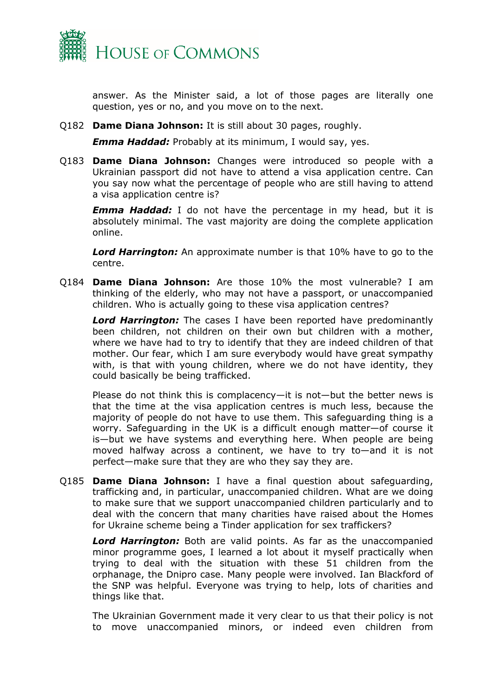

answer. As the Minister said, a lot of those pages are literally one question, yes or no, and you move on to the next.

Q182 **Dame Diana Johnson:** It is still about 30 pages, roughly.

*Emma Haddad:* Probably at its minimum, I would say, yes.

Q183 **Dame Diana Johnson:** Changes were introduced so people with a Ukrainian passport did not have to attend a visa application centre. Can you say now what the percentage of people who are still having to attend a visa application centre is?

*Emma Haddad:* I do not have the percentage in my head, but it is absolutely minimal. The vast majority are doing the complete application online.

*Lord Harrington:* An approximate number is that 10% have to go to the centre.

Q184 **Dame Diana Johnson:** Are those 10% the most vulnerable? I am thinking of the elderly, who may not have a passport, or unaccompanied children. Who is actually going to these visa application centres?

*Lord Harrington:* The cases I have been reported have predominantly been children, not children on their own but children with a mother, where we have had to try to identify that they are indeed children of that mother. Our fear, which I am sure everybody would have great sympathy with, is that with young children, where we do not have identity, they could basically be being trafficked.

Please do not think this is complacency—it is not—but the better news is that the time at the visa application centres is much less, because the majority of people do not have to use them. This safeguarding thing is a worry. Safeguarding in the UK is a difficult enough matter—of course it is—but we have systems and everything here. When people are being moved halfway across a continent, we have to try to—and it is not perfect—make sure that they are who they say they are.

Q185 **Dame Diana Johnson:** I have a final question about safeguarding, trafficking and, in particular, unaccompanied children. What are we doing to make sure that we support unaccompanied children particularly and to deal with the concern that many charities have raised about the Homes for Ukraine scheme being a Tinder application for sex traffickers?

*Lord Harrington:* Both are valid points. As far as the unaccompanied minor programme goes, I learned a lot about it myself practically when trying to deal with the situation with these 51 children from the orphanage, the Dnipro case. Many people were involved. Ian Blackford of the SNP was helpful. Everyone was trying to help, lots of charities and things like that.

The Ukrainian Government made it very clear to us that their policy is not to move unaccompanied minors, or indeed even children from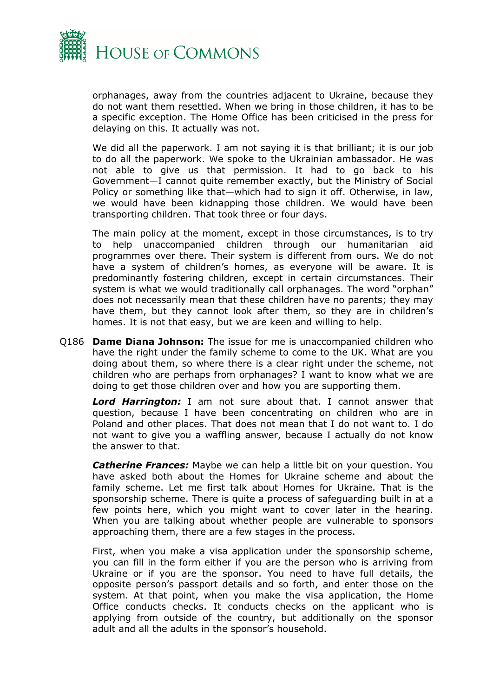

orphanages, away from the countries adjacent to Ukraine, because they do not want them resettled. When we bring in those children, it has to be a specific exception. The Home Office has been criticised in the press for delaying on this. It actually was not.

We did all the paperwork. I am not saying it is that brilliant; it is our job to do all the paperwork. We spoke to the Ukrainian ambassador. He was not able to give us that permission. It had to go back to his Government—I cannot quite remember exactly, but the Ministry of Social Policy or something like that—which had to sign it off. Otherwise, in law, we would have been kidnapping those children. We would have been transporting children. That took three or four days.

The main policy at the moment, except in those circumstances, is to try to help unaccompanied children through our humanitarian aid programmes over there. Their system is different from ours. We do not have a system of children's homes, as everyone will be aware. It is predominantly fostering children, except in certain circumstances. Their system is what we would traditionally call orphanages. The word "orphan" does not necessarily mean that these children have no parents; they may have them, but they cannot look after them, so they are in children's homes. It is not that easy, but we are keen and willing to help.

Q186 **Dame Diana Johnson:** The issue for me is unaccompanied children who have the right under the family scheme to come to the UK. What are you doing about them, so where there is a clear right under the scheme, not children who are perhaps from orphanages? I want to know what we are doing to get those children over and how you are supporting them.

*Lord Harrington:* I am not sure about that. I cannot answer that question, because I have been concentrating on children who are in Poland and other places. That does not mean that I do not want to. I do not want to give you a waffling answer, because I actually do not know the answer to that.

*Catherine Frances:* Maybe we can help a little bit on your question. You have asked both about the Homes for Ukraine scheme and about the family scheme. Let me first talk about Homes for Ukraine. That is the sponsorship scheme. There is quite a process of safeguarding built in at a few points here, which you might want to cover later in the hearing. When you are talking about whether people are vulnerable to sponsors approaching them, there are a few stages in the process.

First, when you make a visa application under the sponsorship scheme, you can fill in the form either if you are the person who is arriving from Ukraine or if you are the sponsor. You need to have full details, the opposite person's passport details and so forth, and enter those on the system. At that point, when you make the visa application, the Home Office conducts checks. It conducts checks on the applicant who is applying from outside of the country, but additionally on the sponsor adult and all the adults in the sponsor's household.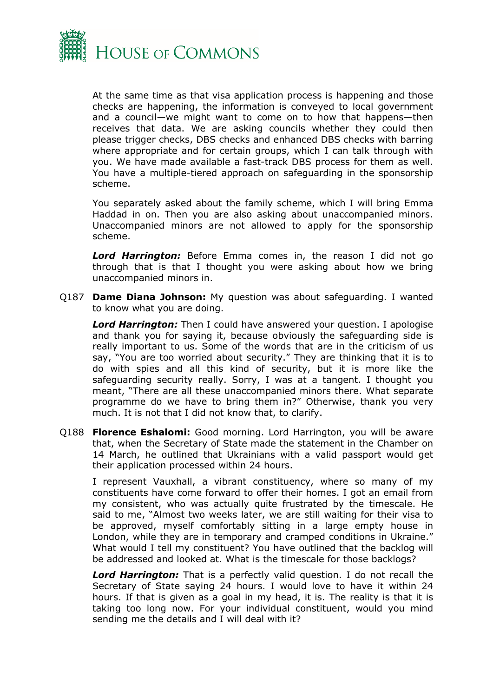

At the same time as that visa application process is happening and those checks are happening, the information is conveyed to local government and a council—we might want to come on to how that happens—then receives that data. We are asking councils whether they could then please trigger checks, DBS checks and enhanced DBS checks with barring where appropriate and for certain groups, which I can talk through with you. We have made available a fast-track DBS process for them as well. You have a multiple-tiered approach on safeguarding in the sponsorship scheme.

You separately asked about the family scheme, which I will bring Emma Haddad in on. Then you are also asking about unaccompanied minors. Unaccompanied minors are not allowed to apply for the sponsorship scheme.

*Lord Harrington:* Before Emma comes in, the reason I did not go through that is that I thought you were asking about how we bring unaccompanied minors in.

Q187 **Dame Diana Johnson:** My question was about safeguarding. I wanted to know what you are doing.

*Lord Harrington:* Then I could have answered your question. I apologise and thank you for saying it, because obviously the safeguarding side is really important to us. Some of the words that are in the criticism of us say, "You are too worried about security." They are thinking that it is to do with spies and all this kind of security, but it is more like the safeguarding security really. Sorry, I was at a tangent. I thought you meant, "There are all these unaccompanied minors there. What separate programme do we have to bring them in?" Otherwise, thank you very much. It is not that I did not know that, to clarify.

Q188 **Florence Eshalomi:** Good morning. Lord Harrington, you will be aware that, when the Secretary of State made the statement in the Chamber on 14 March, he outlined that Ukrainians with a valid passport would get their application processed within 24 hours.

I represent Vauxhall, a vibrant constituency, where so many of my constituents have come forward to offer their homes. I got an email from my consistent, who was actually quite frustrated by the timescale. He said to me, "Almost two weeks later, we are still waiting for their visa to be approved, myself comfortably sitting in a large empty house in London, while they are in temporary and cramped conditions in Ukraine." What would I tell my constituent? You have outlined that the backlog will be addressed and looked at. What is the timescale for those backlogs?

*Lord Harrington:* That is a perfectly valid question. I do not recall the Secretary of State saying 24 hours. I would love to have it within 24 hours. If that is given as a goal in my head, it is. The reality is that it is taking too long now. For your individual constituent, would you mind sending me the details and I will deal with it?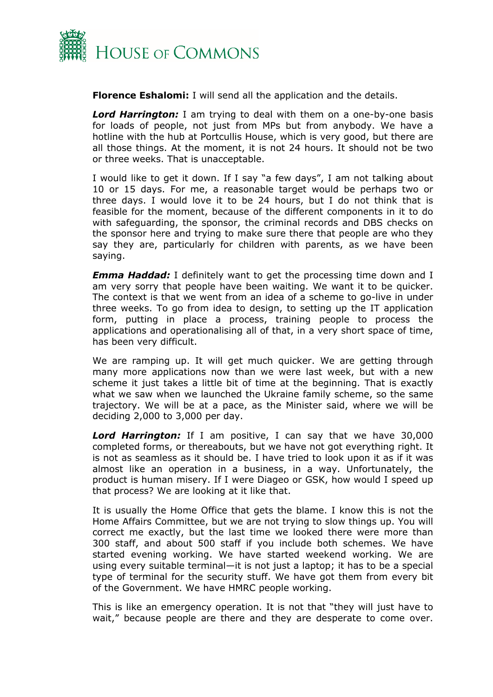

**Florence Eshalomi:** I will send all the application and the details.

*Lord Harrington:* I am trying to deal with them on a one-by-one basis for loads of people, not just from MPs but from anybody. We have a hotline with the hub at Portcullis House, which is very good, but there are all those things. At the moment, it is not 24 hours. It should not be two or three weeks. That is unacceptable.

I would like to get it down. If I say "a few days", I am not talking about 10 or 15 days. For me, a reasonable target would be perhaps two or three days. I would love it to be 24 hours, but I do not think that is feasible for the moment, because of the different components in it to do with safeguarding, the sponsor, the criminal records and DBS checks on the sponsor here and trying to make sure there that people are who they say they are, particularly for children with parents, as we have been saying.

*Emma Haddad:* I definitely want to get the processing time down and I am very sorry that people have been waiting. We want it to be quicker. The context is that we went from an idea of a scheme to go-live in under three weeks. To go from idea to design, to setting up the IT application form, putting in place a process, training people to process the applications and operationalising all of that, in a very short space of time, has been very difficult.

We are ramping up. It will get much quicker. We are getting through many more applications now than we were last week, but with a new scheme it just takes a little bit of time at the beginning. That is exactly what we saw when we launched the Ukraine family scheme, so the same trajectory. We will be at a pace, as the Minister said, where we will be deciding 2,000 to 3,000 per day.

*Lord Harrington:* If I am positive, I can say that we have 30,000 completed forms, or thereabouts, but we have not got everything right. It is not as seamless as it should be. I have tried to look upon it as if it was almost like an operation in a business, in a way. Unfortunately, the product is human misery. If I were Diageo or GSK, how would I speed up that process? We are looking at it like that.

It is usually the Home Office that gets the blame. I know this is not the Home Affairs Committee, but we are not trying to slow things up. You will correct me exactly, but the last time we looked there were more than 300 staff, and about 500 staff if you include both schemes. We have started evening working. We have started weekend working. We are using every suitable terminal—it is not just a laptop; it has to be a special type of terminal for the security stuff. We have got them from every bit of the Government. We have HMRC people working.

This is like an emergency operation. It is not that "they will just have to wait," because people are there and they are desperate to come over.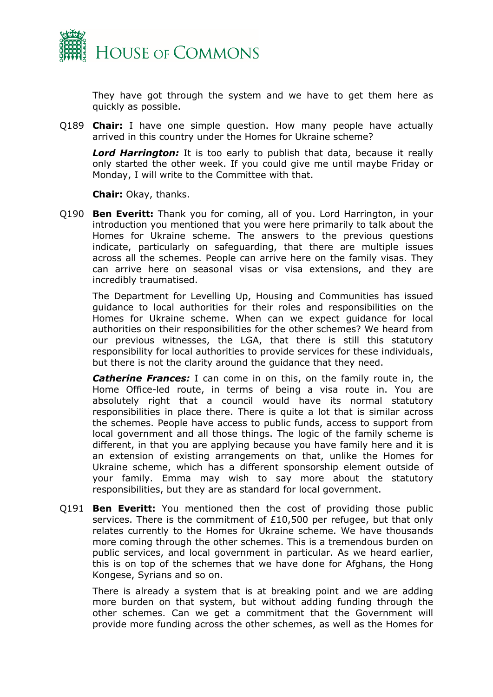

They have got through the system and we have to get them here as quickly as possible.

Q189 **Chair:** I have one simple question. How many people have actually arrived in this country under the Homes for Ukraine scheme?

*Lord Harrington:* It is too early to publish that data, because it really only started the other week. If you could give me until maybe Friday or Monday, I will write to the Committee with that.

**Chair:** Okay, thanks.

Q190 **Ben Everitt:** Thank you for coming, all of you. Lord Harrington, in your introduction you mentioned that you were here primarily to talk about the Homes for Ukraine scheme. The answers to the previous questions indicate, particularly on safeguarding, that there are multiple issues across all the schemes. People can arrive here on the family visas. They can arrive here on seasonal visas or visa extensions, and they are incredibly traumatised.

The Department for Levelling Up, Housing and Communities has issued guidance to local authorities for their roles and responsibilities on the Homes for Ukraine scheme. When can we expect guidance for local authorities on their responsibilities for the other schemes? We heard from our previous witnesses, the LGA, that there is still this statutory responsibility for local authorities to provide services for these individuals, but there is not the clarity around the guidance that they need.

*Catherine Frances:* I can come in on this, on the family route in, the Home Office-led route, in terms of being a visa route in. You are absolutely right that a council would have its normal statutory responsibilities in place there. There is quite a lot that is similar across the schemes. People have access to public funds, access to support from local government and all those things. The logic of the family scheme is different, in that you are applying because you have family here and it is an extension of existing arrangements on that, unlike the Homes for Ukraine scheme, which has a different sponsorship element outside of your family. Emma may wish to say more about the statutory responsibilities, but they are as standard for local government.

Q191 **Ben Everitt:** You mentioned then the cost of providing those public services. There is the commitment of £10,500 per refugee, but that only relates currently to the Homes for Ukraine scheme. We have thousands more coming through the other schemes. This is a tremendous burden on public services, and local government in particular. As we heard earlier, this is on top of the schemes that we have done for Afghans, the Hong Kongese, Syrians and so on.

There is already a system that is at breaking point and we are adding more burden on that system, but without adding funding through the other schemes. Can we get a commitment that the Government will provide more funding across the other schemes, as well as the Homes for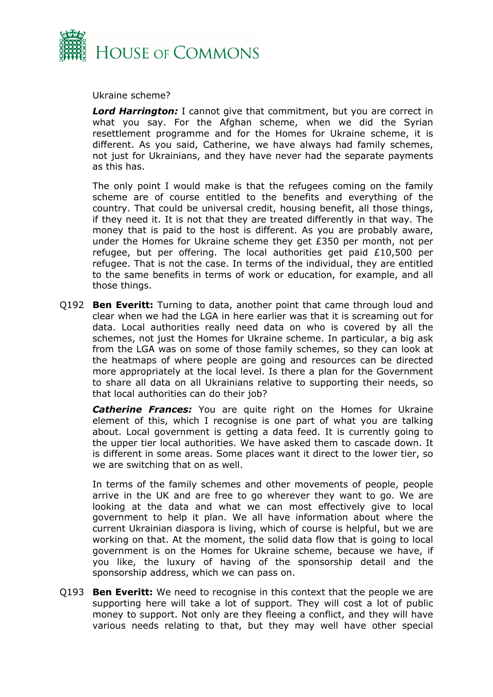

Ukraine scheme?

*Lord Harrington:* I cannot give that commitment, but you are correct in what you say. For the Afghan scheme, when we did the Syrian resettlement programme and for the Homes for Ukraine scheme, it is different. As you said, Catherine, we have always had family schemes, not just for Ukrainians, and they have never had the separate payments as this has.

The only point I would make is that the refugees coming on the family scheme are of course entitled to the benefits and everything of the country. That could be universal credit, housing benefit, all those things, if they need it. It is not that they are treated differently in that way. The money that is paid to the host is different. As you are probably aware, under the Homes for Ukraine scheme they get £350 per month, not per refugee, but per offering. The local authorities get paid £10,500 per refugee. That is not the case. In terms of the individual, they are entitled to the same benefits in terms of work or education, for example, and all those things.

Q192 **Ben Everitt:** Turning to data, another point that came through loud and clear when we had the LGA in here earlier was that it is screaming out for data. Local authorities really need data on who is covered by all the schemes, not just the Homes for Ukraine scheme. In particular, a big ask from the LGA was on some of those family schemes, so they can look at the heatmaps of where people are going and resources can be directed more appropriately at the local level. Is there a plan for the Government to share all data on all Ukrainians relative to supporting their needs, so that local authorities can do their job?

*Catherine Frances:* You are quite right on the Homes for Ukraine element of this, which I recognise is one part of what you are talking about. Local government is getting a data feed. It is currently going to the upper tier local authorities. We have asked them to cascade down. It is different in some areas. Some places want it direct to the lower tier, so we are switching that on as well.

In terms of the family schemes and other movements of people, people arrive in the UK and are free to go wherever they want to go. We are looking at the data and what we can most effectively give to local government to help it plan. We all have information about where the current Ukrainian diaspora is living, which of course is helpful, but we are working on that. At the moment, the solid data flow that is going to local government is on the Homes for Ukraine scheme, because we have, if you like, the luxury of having of the sponsorship detail and the sponsorship address, which we can pass on.

Q193 **Ben Everitt:** We need to recognise in this context that the people we are supporting here will take a lot of support. They will cost a lot of public money to support. Not only are they fleeing a conflict, and they will have various needs relating to that, but they may well have other special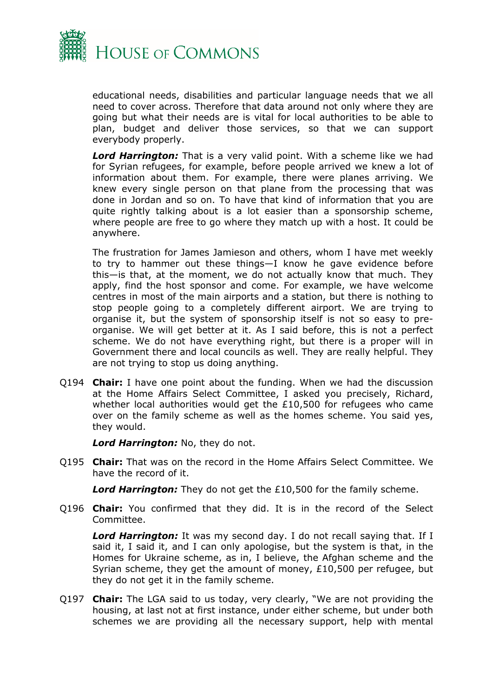

educational needs, disabilities and particular language needs that we all need to cover across. Therefore that data around not only where they are going but what their needs are is vital for local authorities to be able to plan, budget and deliver those services, so that we can support everybody properly.

*Lord Harrington:* That is a very valid point. With a scheme like we had for Syrian refugees, for example, before people arrived we knew a lot of information about them. For example, there were planes arriving. We knew every single person on that plane from the processing that was done in Jordan and so on. To have that kind of information that you are quite rightly talking about is a lot easier than a sponsorship scheme, where people are free to go where they match up with a host. It could be anywhere.

The frustration for James Jamieson and others, whom I have met weekly to try to hammer out these things—I know he gave evidence before this—is that, at the moment, we do not actually know that much. They apply, find the host sponsor and come. For example, we have welcome centres in most of the main airports and a station, but there is nothing to stop people going to a completely different airport. We are trying to organise it, but the system of sponsorship itself is not so easy to preorganise. We will get better at it. As I said before, this is not a perfect scheme. We do not have everything right, but there is a proper will in Government there and local councils as well. They are really helpful. They are not trying to stop us doing anything.

Q194 **Chair:** I have one point about the funding. When we had the discussion at the Home Affairs Select Committee, I asked you precisely, Richard, whether local authorities would get the £10,500 for refugees who came over on the family scheme as well as the homes scheme. You said yes, they would.

*Lord Harrington:* No, they do not.

Q195 **Chair:** That was on the record in the Home Affairs Select Committee. We have the record of it.

*Lord Harrington:* They do not get the £10,500 for the family scheme.

Q196 **Chair:** You confirmed that they did. It is in the record of the Select Committee.

*Lord Harrington:* It was my second day. I do not recall saying that. If I said it, I said it, and I can only apologise, but the system is that, in the Homes for Ukraine scheme, as in, I believe, the Afghan scheme and the Syrian scheme, they get the amount of money, £10,500 per refugee, but they do not get it in the family scheme.

Q197 **Chair:** The LGA said to us today, very clearly, "We are not providing the housing, at last not at first instance, under either scheme, but under both schemes we are providing all the necessary support, help with mental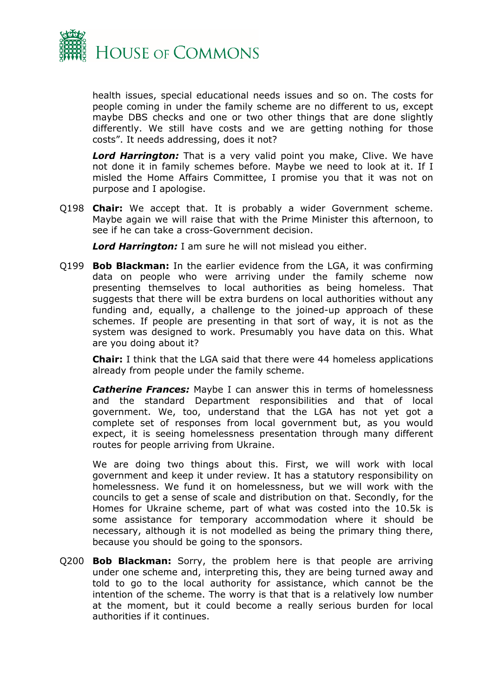

health issues, special educational needs issues and so on. The costs for people coming in under the family scheme are no different to us, except maybe DBS checks and one or two other things that are done slightly differently. We still have costs and we are getting nothing for those costs". It needs addressing, does it not?

*Lord Harrington:* That is a very valid point you make, Clive. We have not done it in family schemes before. Maybe we need to look at it. If I misled the Home Affairs Committee, I promise you that it was not on purpose and I apologise.

Q198 **Chair:** We accept that. It is probably a wider Government scheme. Maybe again we will raise that with the Prime Minister this afternoon, to see if he can take a cross-Government decision.

*Lord Harrington:* I am sure he will not mislead you either.

Q199 **Bob Blackman:** In the earlier evidence from the LGA, it was confirming data on people who were arriving under the family scheme now presenting themselves to local authorities as being homeless. That suggests that there will be extra burdens on local authorities without any funding and, equally, a challenge to the joined-up approach of these schemes. If people are presenting in that sort of way, it is not as the system was designed to work. Presumably you have data on this. What are you doing about it?

**Chair:** I think that the LGA said that there were 44 homeless applications already from people under the family scheme.

*Catherine Frances:* Maybe I can answer this in terms of homelessness and the standard Department responsibilities and that of local government. We, too, understand that the LGA has not yet got a complete set of responses from local government but, as you would expect, it is seeing homelessness presentation through many different routes for people arriving from Ukraine.

We are doing two things about this. First, we will work with local government and keep it under review. It has a statutory responsibility on homelessness. We fund it on homelessness, but we will work with the councils to get a sense of scale and distribution on that. Secondly, for the Homes for Ukraine scheme, part of what was costed into the 10.5k is some assistance for temporary accommodation where it should be necessary, although it is not modelled as being the primary thing there, because you should be going to the sponsors.

Q200 **Bob Blackman:** Sorry, the problem here is that people are arriving under one scheme and, interpreting this, they are being turned away and told to go to the local authority for assistance, which cannot be the intention of the scheme. The worry is that that is a relatively low number at the moment, but it could become a really serious burden for local authorities if it continues.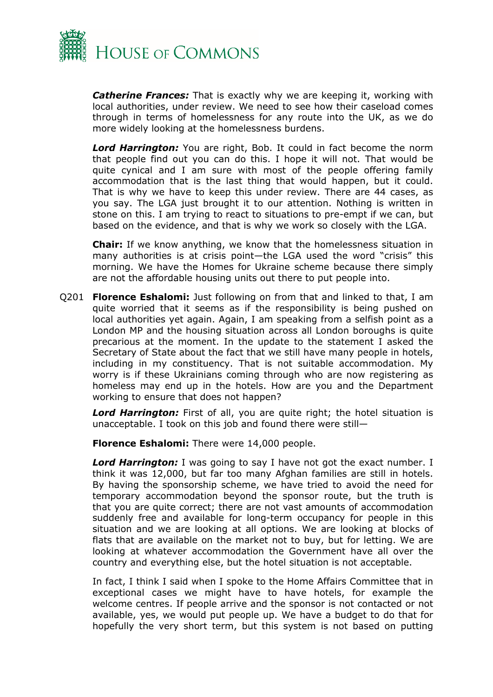

*Catherine Frances:* That is exactly why we are keeping it, working with local authorities, under review. We need to see how their caseload comes through in terms of homelessness for any route into the UK, as we do more widely looking at the homelessness burdens.

*Lord Harrington:* You are right, Bob. It could in fact become the norm that people find out you can do this. I hope it will not. That would be quite cynical and I am sure with most of the people offering family accommodation that is the last thing that would happen, but it could. That is why we have to keep this under review. There are 44 cases, as you say. The LGA just brought it to our attention. Nothing is written in stone on this. I am trying to react to situations to pre-empt if we can, but based on the evidence, and that is why we work so closely with the LGA.

**Chair:** If we know anything, we know that the homelessness situation in many authorities is at crisis point—the LGA used the word "crisis" this morning. We have the Homes for Ukraine scheme because there simply are not the affordable housing units out there to put people into.

Q201 **Florence Eshalomi:** Just following on from that and linked to that, I am quite worried that it seems as if the responsibility is being pushed on local authorities yet again. Again, I am speaking from a selfish point as a London MP and the housing situation across all London boroughs is quite precarious at the moment. In the update to the statement I asked the Secretary of State about the fact that we still have many people in hotels, including in my constituency. That is not suitable accommodation. My worry is if these Ukrainians coming through who are now registering as homeless may end up in the hotels. How are you and the Department working to ensure that does not happen?

*Lord Harrington:* First of all, you are quite right; the hotel situation is unacceptable. I took on this job and found there were still—

**Florence Eshalomi:** There were 14,000 people.

*Lord Harrington:* I was going to say I have not got the exact number. I think it was 12,000, but far too many Afghan families are still in hotels. By having the sponsorship scheme, we have tried to avoid the need for temporary accommodation beyond the sponsor route, but the truth is that you are quite correct; there are not vast amounts of accommodation suddenly free and available for long-term occupancy for people in this situation and we are looking at all options. We are looking at blocks of flats that are available on the market not to buy, but for letting. We are looking at whatever accommodation the Government have all over the country and everything else, but the hotel situation is not acceptable.

In fact, I think I said when I spoke to the Home Affairs Committee that in exceptional cases we might have to have hotels, for example the welcome centres. If people arrive and the sponsor is not contacted or not available, yes, we would put people up. We have a budget to do that for hopefully the very short term, but this system is not based on putting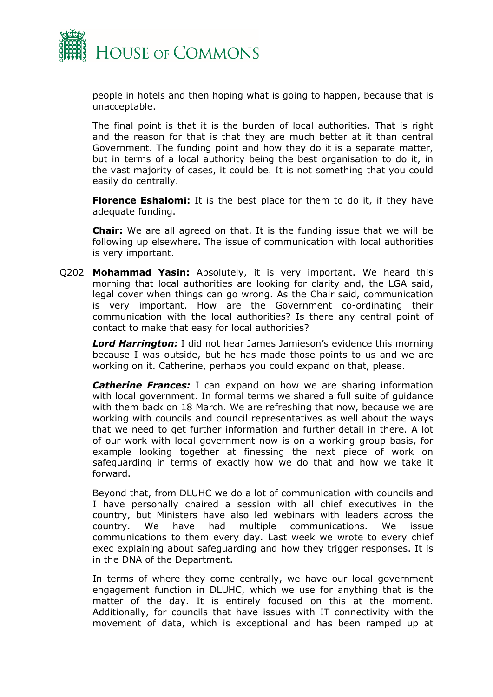

people in hotels and then hoping what is going to happen, because that is unacceptable.

The final point is that it is the burden of local authorities. That is right and the reason for that is that they are much better at it than central Government. The funding point and how they do it is a separate matter, but in terms of a local authority being the best organisation to do it, in the vast majority of cases, it could be. It is not something that you could easily do centrally.

**Florence Eshalomi:** It is the best place for them to do it, if they have adequate funding.

**Chair:** We are all agreed on that. It is the funding issue that we will be following up elsewhere. The issue of communication with local authorities is very important.

Q202 **Mohammad Yasin:** Absolutely, it is very important. We heard this morning that local authorities are looking for clarity and, the LGA said, legal cover when things can go wrong. As the Chair said, communication is very important. How are the Government co-ordinating their communication with the local authorities? Is there any central point of contact to make that easy for local authorities?

*Lord Harrington:* I did not hear James Jamieson's evidence this morning because I was outside, but he has made those points to us and we are working on it. Catherine, perhaps you could expand on that, please.

*Catherine Frances:* I can expand on how we are sharing information with local government. In formal terms we shared a full suite of guidance with them back on 18 March. We are refreshing that now, because we are working with councils and council representatives as well about the ways that we need to get further information and further detail in there. A lot of our work with local government now is on a working group basis, for example looking together at finessing the next piece of work on safeguarding in terms of exactly how we do that and how we take it forward.

Beyond that, from DLUHC we do a lot of communication with councils and I have personally chaired a session with all chief executives in the country, but Ministers have also led webinars with leaders across the country. We have had multiple communications. We issue communications to them every day. Last week we wrote to every chief exec explaining about safeguarding and how they trigger responses. It is in the DNA of the Department.

In terms of where they come centrally, we have our local government engagement function in DLUHC, which we use for anything that is the matter of the day. It is entirely focused on this at the moment. Additionally, for councils that have issues with IT connectivity with the movement of data, which is exceptional and has been ramped up at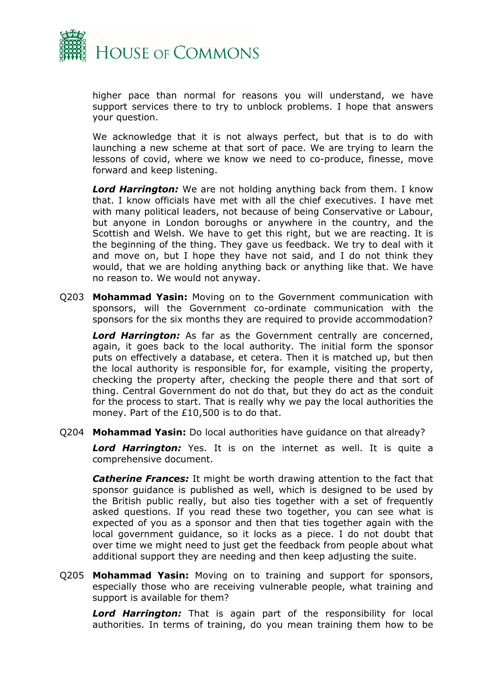

higher pace than normal for reasons you will understand, we have support services there to try to unblock problems. I hope that answers your question.

We acknowledge that it is not always perfect, but that is to do with launching a new scheme at that sort of pace. We are trying to learn the lessons of covid, where we know we need to co-produce, finesse, move forward and keep listening.

*Lord Harrington:* We are not holding anything back from them. I know that. I know officials have met with all the chief executives. I have met with many political leaders, not because of being Conservative or Labour, but anyone in London boroughs or anywhere in the country, and the Scottish and Welsh. We have to get this right, but we are reacting. It is the beginning of the thing. They gave us feedback. We try to deal with it and move on, but I hope they have not said, and I do not think they would, that we are holding anything back or anything like that. We have no reason to. We would not anyway.

Q203 **Mohammad Yasin:** Moving on to the Government communication with sponsors, will the Government co-ordinate communication with the sponsors for the six months they are required to provide accommodation?

*Lord Harrington:* As far as the Government centrally are concerned, again, it goes back to the local authority. The initial form the sponsor puts on effectively a database, et cetera. Then it is matched up, but then the local authority is responsible for, for example, visiting the property, checking the property after, checking the people there and that sort of thing. Central Government do not do that, but they do act as the conduit for the process to start. That is really why we pay the local authorities the money. Part of the £10,500 is to do that.

Q204 **Mohammad Yasin:** Do local authorities have guidance on that already?

*Lord Harrington:* Yes. It is on the internet as well. It is quite a comprehensive document.

*Catherine Frances:* It might be worth drawing attention to the fact that sponsor guidance is published as well, which is designed to be used by the British public really, but also ties together with a set of frequently asked questions. If you read these two together, you can see what is expected of you as a sponsor and then that ties together again with the local government guidance, so it locks as a piece. I do not doubt that over time we might need to just get the feedback from people about what additional support they are needing and then keep adjusting the suite.

Q205 **Mohammad Yasin:** Moving on to training and support for sponsors, especially those who are receiving vulnerable people, what training and support is available for them?

*Lord Harrington:* That is again part of the responsibility for local authorities. In terms of training, do you mean training them how to be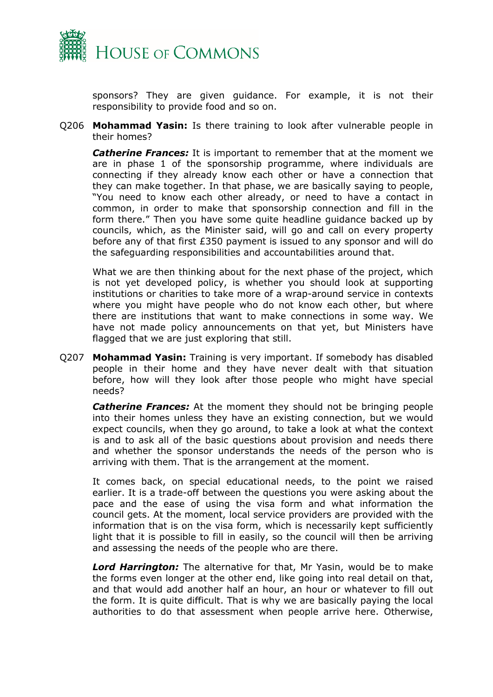

sponsors? They are given guidance. For example, it is not their responsibility to provide food and so on.

Q206 **Mohammad Yasin:** Is there training to look after vulnerable people in their homes?

*Catherine Frances:* It is important to remember that at the moment we are in phase 1 of the sponsorship programme, where individuals are connecting if they already know each other or have a connection that they can make together. In that phase, we are basically saying to people, "You need to know each other already, or need to have a contact in common, in order to make that sponsorship connection and fill in the form there." Then you have some quite headline guidance backed up by councils, which, as the Minister said, will go and call on every property before any of that first £350 payment is issued to any sponsor and will do the safeguarding responsibilities and accountabilities around that.

What we are then thinking about for the next phase of the project, which is not yet developed policy, is whether you should look at supporting institutions or charities to take more of a wrap-around service in contexts where you might have people who do not know each other, but where there are institutions that want to make connections in some way. We have not made policy announcements on that yet, but Ministers have flagged that we are just exploring that still.

Q207 **Mohammad Yasin:** Training is very important. If somebody has disabled people in their home and they have never dealt with that situation before, how will they look after those people who might have special needs?

**Catherine Frances:** At the moment they should not be bringing people into their homes unless they have an existing connection, but we would expect councils, when they go around, to take a look at what the context is and to ask all of the basic questions about provision and needs there and whether the sponsor understands the needs of the person who is arriving with them. That is the arrangement at the moment.

It comes back, on special educational needs, to the point we raised earlier. It is a trade-off between the questions you were asking about the pace and the ease of using the visa form and what information the council gets. At the moment, local service providers are provided with the information that is on the visa form, which is necessarily kept sufficiently light that it is possible to fill in easily, so the council will then be arriving and assessing the needs of the people who are there.

*Lord Harrington:* The alternative for that, Mr Yasin, would be to make the forms even longer at the other end, like going into real detail on that, and that would add another half an hour, an hour or whatever to fill out the form. It is quite difficult. That is why we are basically paying the local authorities to do that assessment when people arrive here. Otherwise,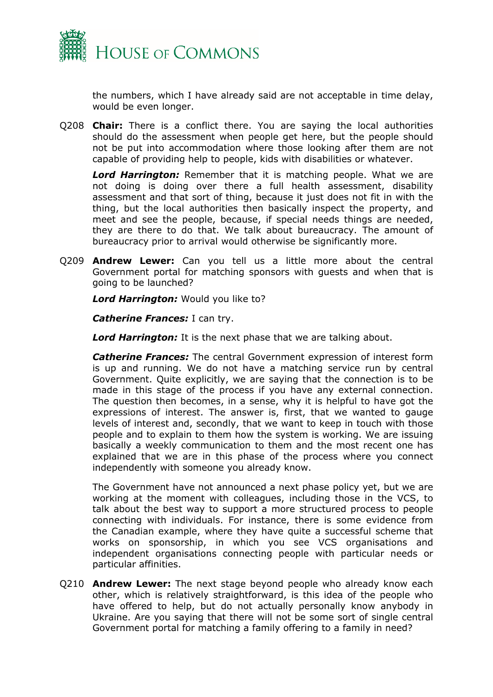

the numbers, which I have already said are not acceptable in time delay, would be even longer.

Q208 **Chair:** There is a conflict there. You are saying the local authorities should do the assessment when people get here, but the people should not be put into accommodation where those looking after them are not capable of providing help to people, kids with disabilities or whatever.

*Lord Harrington:* Remember that it is matching people. What we are not doing is doing over there a full health assessment, disability assessment and that sort of thing, because it just does not fit in with the thing, but the local authorities then basically inspect the property, and meet and see the people, because, if special needs things are needed, they are there to do that. We talk about bureaucracy. The amount of bureaucracy prior to arrival would otherwise be significantly more.

Q209 **Andrew Lewer:** Can you tell us a little more about the central Government portal for matching sponsors with guests and when that is going to be launched?

*Lord Harrington:* Would you like to?

*Catherine Frances:* I can try.

*Lord Harrington:* It is the next phase that we are talking about.

*Catherine Frances:* The central Government expression of interest form is up and running. We do not have a matching service run by central Government. Quite explicitly, we are saying that the connection is to be made in this stage of the process if you have any external connection. The question then becomes, in a sense, why it is helpful to have got the expressions of interest. The answer is, first, that we wanted to gauge levels of interest and, secondly, that we want to keep in touch with those people and to explain to them how the system is working. We are issuing basically a weekly communication to them and the most recent one has explained that we are in this phase of the process where you connect independently with someone you already know.

The Government have not announced a next phase policy yet, but we are working at the moment with colleagues, including those in the VCS, to talk about the best way to support a more structured process to people connecting with individuals. For instance, there is some evidence from the Canadian example, where they have quite a successful scheme that works on sponsorship, in which you see VCS organisations and independent organisations connecting people with particular needs or particular affinities.

Q210 **Andrew Lewer:** The next stage beyond people who already know each other, which is relatively straightforward, is this idea of the people who have offered to help, but do not actually personally know anybody in Ukraine. Are you saying that there will not be some sort of single central Government portal for matching a family offering to a family in need?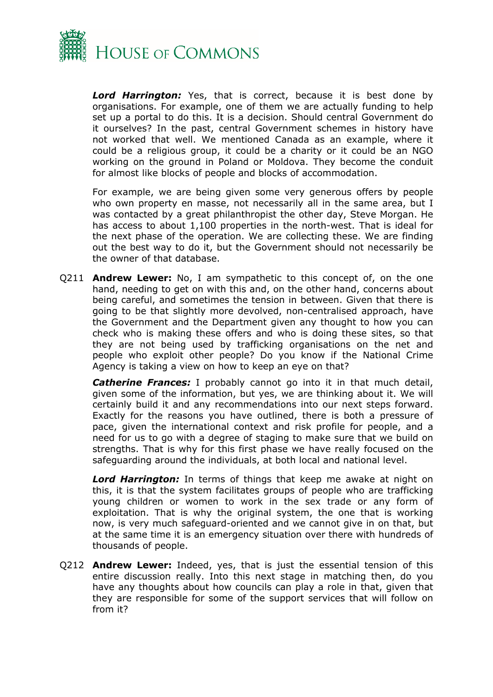

*Lord Harrington:* Yes, that is correct, because it is best done by organisations. For example, one of them we are actually funding to help set up a portal to do this. It is a decision. Should central Government do it ourselves? In the past, central Government schemes in history have not worked that well. We mentioned Canada as an example, where it could be a religious group, it could be a charity or it could be an NGO working on the ground in Poland or Moldova. They become the conduit for almost like blocks of people and blocks of accommodation.

For example, we are being given some very generous offers by people who own property en masse, not necessarily all in the same area, but I was contacted by a great philanthropist the other day, Steve Morgan. He has access to about 1,100 properties in the north-west. That is ideal for the next phase of the operation. We are collecting these. We are finding out the best way to do it, but the Government should not necessarily be the owner of that database.

Q211 **Andrew Lewer:** No, I am sympathetic to this concept of, on the one hand, needing to get on with this and, on the other hand, concerns about being careful, and sometimes the tension in between. Given that there is going to be that slightly more devolved, non-centralised approach, have the Government and the Department given any thought to how you can check who is making these offers and who is doing these sites, so that they are not being used by trafficking organisations on the net and people who exploit other people? Do you know if the National Crime Agency is taking a view on how to keep an eye on that?

*Catherine Frances:* I probably cannot go into it in that much detail, given some of the information, but yes, we are thinking about it. We will certainly build it and any recommendations into our next steps forward. Exactly for the reasons you have outlined, there is both a pressure of pace, given the international context and risk profile for people, and a need for us to go with a degree of staging to make sure that we build on strengths. That is why for this first phase we have really focused on the safeguarding around the individuals, at both local and national level.

*Lord Harrington:* In terms of things that keep me awake at night on this, it is that the system facilitates groups of people who are trafficking young children or women to work in the sex trade or any form of exploitation. That is why the original system, the one that is working now, is very much safeguard-oriented and we cannot give in on that, but at the same time it is an emergency situation over there with hundreds of thousands of people.

Q212 **Andrew Lewer:** Indeed, yes, that is just the essential tension of this entire discussion really. Into this next stage in matching then, do you have any thoughts about how councils can play a role in that, given that they are responsible for some of the support services that will follow on from it?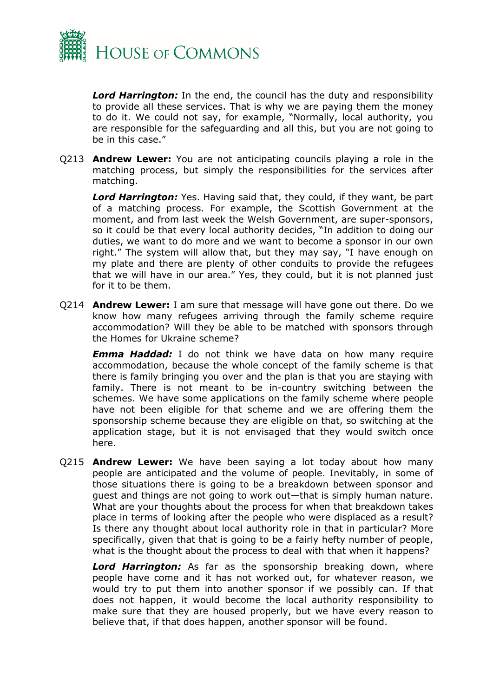

*Lord Harrington:* In the end, the council has the duty and responsibility to provide all these services. That is why we are paying them the money to do it. We could not say, for example, "Normally, local authority, you are responsible for the safeguarding and all this, but you are not going to be in this case."

Q213 **Andrew Lewer:** You are not anticipating councils playing a role in the matching process, but simply the responsibilities for the services after matching.

*Lord Harrington:* Yes. Having said that, they could, if they want, be part of a matching process. For example, the Scottish Government at the moment, and from last week the Welsh Government, are super-sponsors, so it could be that every local authority decides, "In addition to doing our duties, we want to do more and we want to become a sponsor in our own right." The system will allow that, but they may say, "I have enough on my plate and there are plenty of other conduits to provide the refugees that we will have in our area." Yes, they could, but it is not planned just for it to be them.

Q214 **Andrew Lewer:** I am sure that message will have gone out there. Do we know how many refugees arriving through the family scheme require accommodation? Will they be able to be matched with sponsors through the Homes for Ukraine scheme?

*Emma Haddad:* I do not think we have data on how many require accommodation, because the whole concept of the family scheme is that there is family bringing you over and the plan is that you are staying with family. There is not meant to be in-country switching between the schemes. We have some applications on the family scheme where people have not been eligible for that scheme and we are offering them the sponsorship scheme because they are eligible on that, so switching at the application stage, but it is not envisaged that they would switch once here.

Q215 **Andrew Lewer:** We have been saying a lot today about how many people are anticipated and the volume of people. Inevitably, in some of those situations there is going to be a breakdown between sponsor and guest and things are not going to work out—that is simply human nature. What are your thoughts about the process for when that breakdown takes place in terms of looking after the people who were displaced as a result? Is there any thought about local authority role in that in particular? More specifically, given that that is going to be a fairly hefty number of people, what is the thought about the process to deal with that when it happens?

*Lord Harrington:* As far as the sponsorship breaking down, where people have come and it has not worked out, for whatever reason, we would try to put them into another sponsor if we possibly can. If that does not happen, it would become the local authority responsibility to make sure that they are housed properly, but we have every reason to believe that, if that does happen, another sponsor will be found.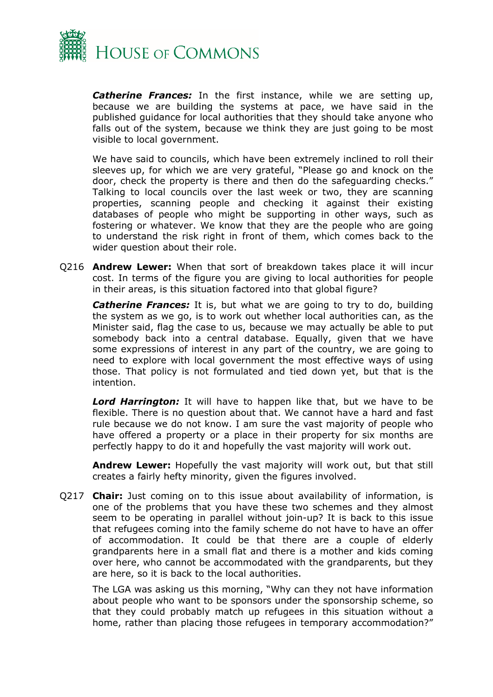

*Catherine Frances:* In the first instance, while we are setting up, because we are building the systems at pace, we have said in the published guidance for local authorities that they should take anyone who falls out of the system, because we think they are just going to be most visible to local government.

We have said to councils, which have been extremely inclined to roll their sleeves up, for which we are very grateful, "Please go and knock on the door, check the property is there and then do the safeguarding checks." Talking to local councils over the last week or two, they are scanning properties, scanning people and checking it against their existing databases of people who might be supporting in other ways, such as fostering or whatever. We know that they are the people who are going to understand the risk right in front of them, which comes back to the wider question about their role.

Q216 **Andrew Lewer:** When that sort of breakdown takes place it will incur cost. In terms of the figure you are giving to local authorities for people in their areas, is this situation factored into that global figure?

*Catherine Frances:* It is, but what we are going to try to do, building the system as we go, is to work out whether local authorities can, as the Minister said, flag the case to us, because we may actually be able to put somebody back into a central database. Equally, given that we have some expressions of interest in any part of the country, we are going to need to explore with local government the most effective ways of using those. That policy is not formulated and tied down yet, but that is the intention.

*Lord Harrington:* It will have to happen like that, but we have to be flexible. There is no question about that. We cannot have a hard and fast rule because we do not know. I am sure the vast majority of people who have offered a property or a place in their property for six months are perfectly happy to do it and hopefully the vast majority will work out.

**Andrew Lewer:** Hopefully the vast majority will work out, but that still creates a fairly hefty minority, given the figures involved.

Q217 **Chair:** Just coming on to this issue about availability of information, is one of the problems that you have these two schemes and they almost seem to be operating in parallel without join-up? It is back to this issue that refugees coming into the family scheme do not have to have an offer of accommodation. It could be that there are a couple of elderly grandparents here in a small flat and there is a mother and kids coming over here, who cannot be accommodated with the grandparents, but they are here, so it is back to the local authorities.

The LGA was asking us this morning, "Why can they not have information about people who want to be sponsors under the sponsorship scheme, so that they could probably match up refugees in this situation without a home, rather than placing those refugees in temporary accommodation?"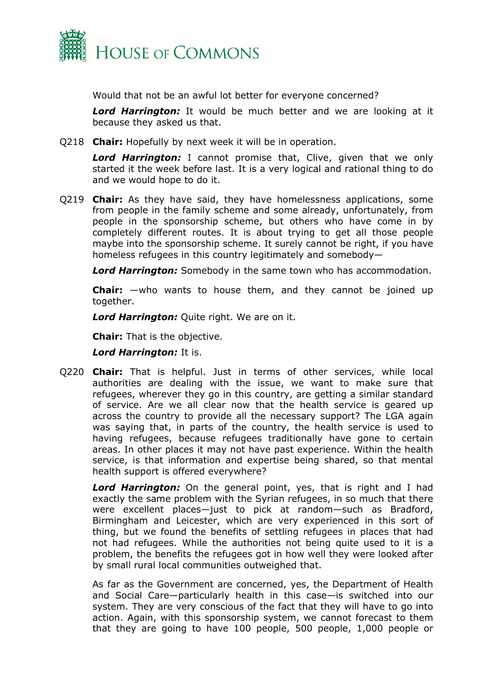

Would that not be an awful lot better for everyone concerned?

*Lord Harrington:* It would be much better and we are looking at it because they asked us that.

Q218 **Chair:** Hopefully by next week it will be in operation.

*Lord Harrington:* I cannot promise that, Clive, given that we only started it the week before last. It is a very logical and rational thing to do and we would hope to do it.

Q219 **Chair:** As they have said, they have homelessness applications, some from people in the family scheme and some already, unfortunately, from people in the sponsorship scheme, but others who have come in by completely different routes. It is about trying to get all those people maybe into the sponsorship scheme. It surely cannot be right, if you have homeless refugees in this country legitimately and somebody—

*Lord Harrington:* Somebody in the same town who has accommodation.

**Chair:** —who wants to house them, and they cannot be joined up together.

*Lord Harrington:* Quite right. We are on it.

**Chair:** That is the objective.

*Lord Harrington:* It is.

Q220 **Chair:** That is helpful. Just in terms of other services, while local authorities are dealing with the issue, we want to make sure that refugees, wherever they go in this country, are getting a similar standard of service. Are we all clear now that the health service is geared up across the country to provide all the necessary support? The LGA again was saying that, in parts of the country, the health service is used to having refugees, because refugees traditionally have gone to certain areas. In other places it may not have past experience. Within the health service, is that information and expertise being shared, so that mental health support is offered everywhere?

*Lord Harrington:* On the general point, yes, that is right and I had exactly the same problem with the Syrian refugees, in so much that there were excellent places—just to pick at random—such as Bradford, Birmingham and Leicester, which are very experienced in this sort of thing, but we found the benefits of settling refugees in places that had not had refugees. While the authorities not being quite used to it is a problem, the benefits the refugees got in how well they were looked after by small rural local communities outweighed that.

As far as the Government are concerned, yes, the Department of Health and Social Care—particularly health in this case—is switched into our system. They are very conscious of the fact that they will have to go into action. Again, with this sponsorship system, we cannot forecast to them that they are going to have 100 people, 500 people, 1,000 people or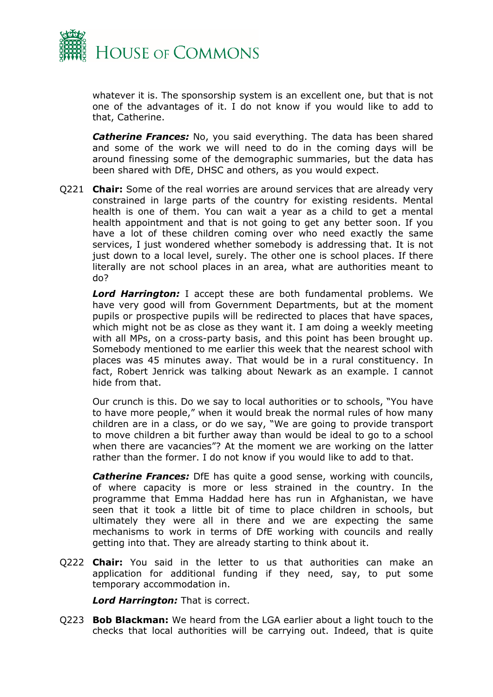

whatever it is. The sponsorship system is an excellent one, but that is not one of the advantages of it. I do not know if you would like to add to that, Catherine.

*Catherine Frances:* No, you said everything. The data has been shared and some of the work we will need to do in the coming days will be around finessing some of the demographic summaries, but the data has been shared with DfE, DHSC and others, as you would expect.

Q221 **Chair:** Some of the real worries are around services that are already very constrained in large parts of the country for existing residents. Mental health is one of them. You can wait a year as a child to get a mental health appointment and that is not going to get any better soon. If you have a lot of these children coming over who need exactly the same services, I just wondered whether somebody is addressing that. It is not just down to a local level, surely. The other one is school places. If there literally are not school places in an area, what are authorities meant to do?

*Lord Harrington:* I accept these are both fundamental problems. We have very good will from Government Departments, but at the moment pupils or prospective pupils will be redirected to places that have spaces, which might not be as close as they want it. I am doing a weekly meeting with all MPs, on a cross-party basis, and this point has been brought up. Somebody mentioned to me earlier this week that the nearest school with places was 45 minutes away. That would be in a rural constituency. In fact, Robert Jenrick was talking about Newark as an example. I cannot hide from that.

Our crunch is this. Do we say to local authorities or to schools, "You have to have more people," when it would break the normal rules of how many children are in a class, or do we say, "We are going to provide transport to move children a bit further away than would be ideal to go to a school when there are vacancies"? At the moment we are working on the latter rather than the former. I do not know if you would like to add to that.

*Catherine Frances:* DfE has quite a good sense, working with councils, of where capacity is more or less strained in the country. In the programme that Emma Haddad here has run in Afghanistan, we have seen that it took a little bit of time to place children in schools, but ultimately they were all in there and we are expecting the same mechanisms to work in terms of DfE working with councils and really getting into that. They are already starting to think about it.

Q222 **Chair:** You said in the letter to us that authorities can make an application for additional funding if they need, say, to put some temporary accommodation in.

*Lord Harrington:* That is correct.

Q223 **Bob Blackman:** We heard from the LGA earlier about a light touch to the checks that local authorities will be carrying out. Indeed, that is quite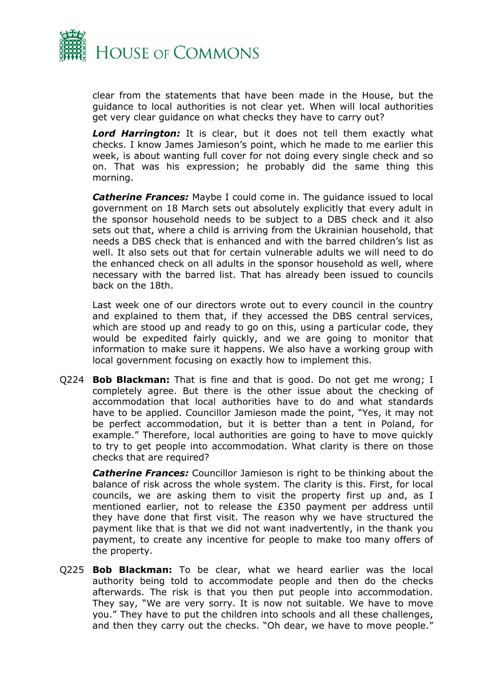

clear from the statements that have been made in the House, but the guidance to local authorities is not clear yet. When will local authorities get very clear guidance on what checks they have to carry out?

*Lord Harrington:* It is clear, but it does not tell them exactly what checks. I know James Jamieson's point, which he made to me earlier this week, is about wanting full cover for not doing every single check and so on. That was his expression; he probably did the same thing this morning.

*Catherine Frances:* Maybe I could come in. The guidance issued to local government on 18 March sets out absolutely explicitly that every adult in the sponsor household needs to be subject to a DBS check and it also sets out that, where a child is arriving from the Ukrainian household, that needs a DBS check that is enhanced and with the barred children's list as well. It also sets out that for certain vulnerable adults we will need to do the enhanced check on all adults in the sponsor household as well, where necessary with the barred list. That has already been issued to councils back on the 18th.

Last week one of our directors wrote out to every council in the country and explained to them that, if they accessed the DBS central services, which are stood up and ready to go on this, using a particular code, they would be expedited fairly quickly, and we are going to monitor that information to make sure it happens. We also have a working group with local government focusing on exactly how to implement this.

Q224 **Bob Blackman:** That is fine and that is good. Do not get me wrong; I completely agree. But there is the other issue about the checking of accommodation that local authorities have to do and what standards have to be applied. Councillor Jamieson made the point, "Yes, it may not be perfect accommodation, but it is better than a tent in Poland, for example." Therefore, local authorities are going to have to move quickly to try to get people into accommodation. What clarity is there on those checks that are required?

*Catherine Frances:* Councillor Jamieson is right to be thinking about the balance of risk across the whole system. The clarity is this. First, for local councils, we are asking them to visit the property first up and, as I mentioned earlier, not to release the £350 payment per address until they have done that first visit. The reason why we have structured the payment like that is that we did not want inadvertently, in the thank you payment, to create any incentive for people to make too many offers of the property.

Q225 **Bob Blackman:** To be clear, what we heard earlier was the local authority being told to accommodate people and then do the checks afterwards. The risk is that you then put people into accommodation. They say, "We are very sorry. It is now not suitable. We have to move you." They have to put the children into schools and all these challenges, and then they carry out the checks. "Oh dear, we have to move people."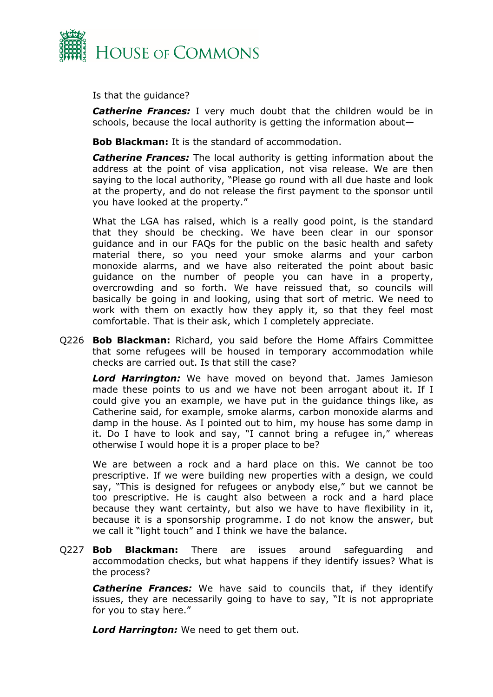

Is that the guidance?

**Catherine Frances:** I very much doubt that the children would be in schools, because the local authority is getting the information about—

**Bob Blackman:** It is the standard of accommodation.

*Catherine Frances:* The local authority is getting information about the address at the point of visa application, not visa release. We are then saying to the local authority, "Please go round with all due haste and look at the property, and do not release the first payment to the sponsor until you have looked at the property."

What the LGA has raised, which is a really good point, is the standard that they should be checking. We have been clear in our sponsor guidance and in our FAQs for the public on the basic health and safety material there, so you need your smoke alarms and your carbon monoxide alarms, and we have also reiterated the point about basic guidance on the number of people you can have in a property, overcrowding and so forth. We have reissued that, so councils will basically be going in and looking, using that sort of metric. We need to work with them on exactly how they apply it, so that they feel most comfortable. That is their ask, which I completely appreciate.

Q226 **Bob Blackman:** Richard, you said before the Home Affairs Committee that some refugees will be housed in temporary accommodation while checks are carried out. Is that still the case?

*Lord Harrington:* We have moved on beyond that. James Jamieson made these points to us and we have not been arrogant about it. If I could give you an example, we have put in the guidance things like, as Catherine said, for example, smoke alarms, carbon monoxide alarms and damp in the house. As I pointed out to him, my house has some damp in it. Do I have to look and say, "I cannot bring a refugee in," whereas otherwise I would hope it is a proper place to be?

We are between a rock and a hard place on this. We cannot be too prescriptive. If we were building new properties with a design, we could say, "This is designed for refugees or anybody else," but we cannot be too prescriptive. He is caught also between a rock and a hard place because they want certainty, but also we have to have flexibility in it, because it is a sponsorship programme. I do not know the answer, but we call it "light touch" and I think we have the balance.

Q227 **Bob Blackman:** There are issues around safeguarding and accommodation checks, but what happens if they identify issues? What is the process?

**Catherine Frances:** We have said to councils that, if they identify issues, they are necessarily going to have to say, "It is not appropriate for you to stay here."

*Lord Harrington:* We need to get them out.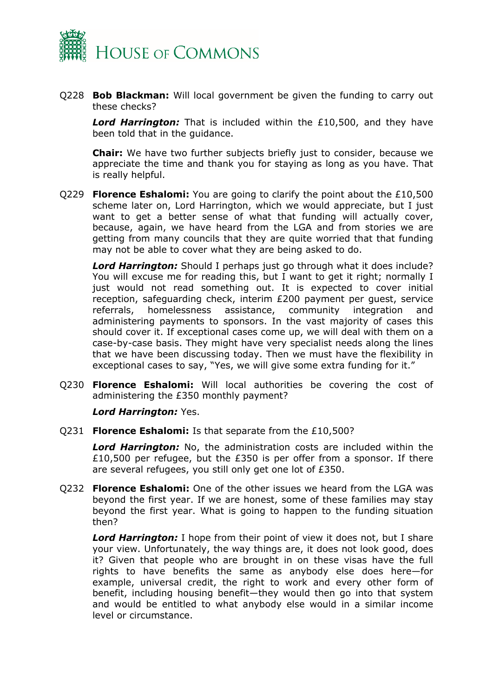

Q228 **Bob Blackman:** Will local government be given the funding to carry out these checks?

*Lord Harrington:* That is included within the £10,500, and they have been told that in the guidance.

**Chair:** We have two further subjects briefly just to consider, because we appreciate the time and thank you for staying as long as you have. That is really helpful.

Q229 **Florence Eshalomi:** You are going to clarify the point about the £10,500 scheme later on, Lord Harrington, which we would appreciate, but I just want to get a better sense of what that funding will actually cover, because, again, we have heard from the LGA and from stories we are getting from many councils that they are quite worried that that funding may not be able to cover what they are being asked to do.

*Lord Harrington:* Should I perhaps just go through what it does include? You will excuse me for reading this, but I want to get it right; normally I just would not read something out. It is expected to cover initial reception, safeguarding check, interim £200 payment per guest, service referrals, homelessness assistance, community integration and administering payments to sponsors. In the vast majority of cases this should cover it. If exceptional cases come up, we will deal with them on a case-by-case basis. They might have very specialist needs along the lines that we have been discussing today. Then we must have the flexibility in exceptional cases to say, "Yes, we will give some extra funding for it."

Q230 **Florence Eshalomi:** Will local authorities be covering the cost of administering the £350 monthly payment?

*Lord Harrington:* Yes.

Q231 **Florence Eshalomi:** Is that separate from the £10,500?

*Lord Harrington:* No, the administration costs are included within the £10,500 per refugee, but the £350 is per offer from a sponsor. If there are several refugees, you still only get one lot of £350.

Q232 **Florence Eshalomi:** One of the other issues we heard from the LGA was beyond the first year. If we are honest, some of these families may stay beyond the first year. What is going to happen to the funding situation then?

*Lord Harrington:* I hope from their point of view it does not, but I share your view. Unfortunately, the way things are, it does not look good, does it? Given that people who are brought in on these visas have the full rights to have benefits the same as anybody else does here—for example, universal credit, the right to work and every other form of benefit, including housing benefit—they would then go into that system and would be entitled to what anybody else would in a similar income level or circumstance.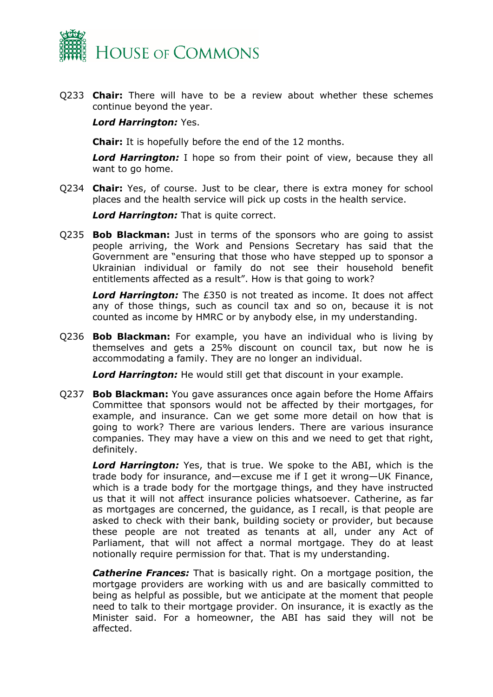

Q233 **Chair:** There will have to be a review about whether these schemes continue beyond the year.

#### *Lord Harrington:* Yes.

**Chair:** It is hopefully before the end of the 12 months.

*Lord Harrington:* I hope so from their point of view, because they all want to go home.

Q234 **Chair:** Yes, of course. Just to be clear, there is extra money for school places and the health service will pick up costs in the health service.

*Lord Harrington:* That is quite correct.

Q235 **Bob Blackman:** Just in terms of the sponsors who are going to assist people arriving, the Work and Pensions Secretary has said that the Government are "ensuring that those who have stepped up to sponsor a Ukrainian individual or family do not see their household benefit entitlements affected as a result". How is that going to work?

*Lord Harrington:* The £350 is not treated as income. It does not affect any of those things, such as council tax and so on, because it is not counted as income by HMRC or by anybody else, in my understanding.

Q236 **Bob Blackman:** For example, you have an individual who is living by themselves and gets a 25% discount on council tax, but now he is accommodating a family. They are no longer an individual.

*Lord Harrington:* He would still get that discount in your example.

Q237 **Bob Blackman:** You gave assurances once again before the Home Affairs Committee that sponsors would not be affected by their mortgages, for example, and insurance. Can we get some more detail on how that is going to work? There are various lenders. There are various insurance companies. They may have a view on this and we need to get that right, definitely.

*Lord Harrington:* Yes, that is true. We spoke to the ABI, which is the trade body for insurance, and—excuse me if I get it wrong—UK Finance, which is a trade body for the mortgage things, and they have instructed us that it will not affect insurance policies whatsoever. Catherine, as far as mortgages are concerned, the guidance, as I recall, is that people are asked to check with their bank, building society or provider, but because these people are not treated as tenants at all, under any Act of Parliament, that will not affect a normal mortgage. They do at least notionally require permission for that. That is my understanding.

*Catherine Frances:* That is basically right. On a mortgage position, the mortgage providers are working with us and are basically committed to being as helpful as possible, but we anticipate at the moment that people need to talk to their mortgage provider. On insurance, it is exactly as the Minister said. For a homeowner, the ABI has said they will not be affected.